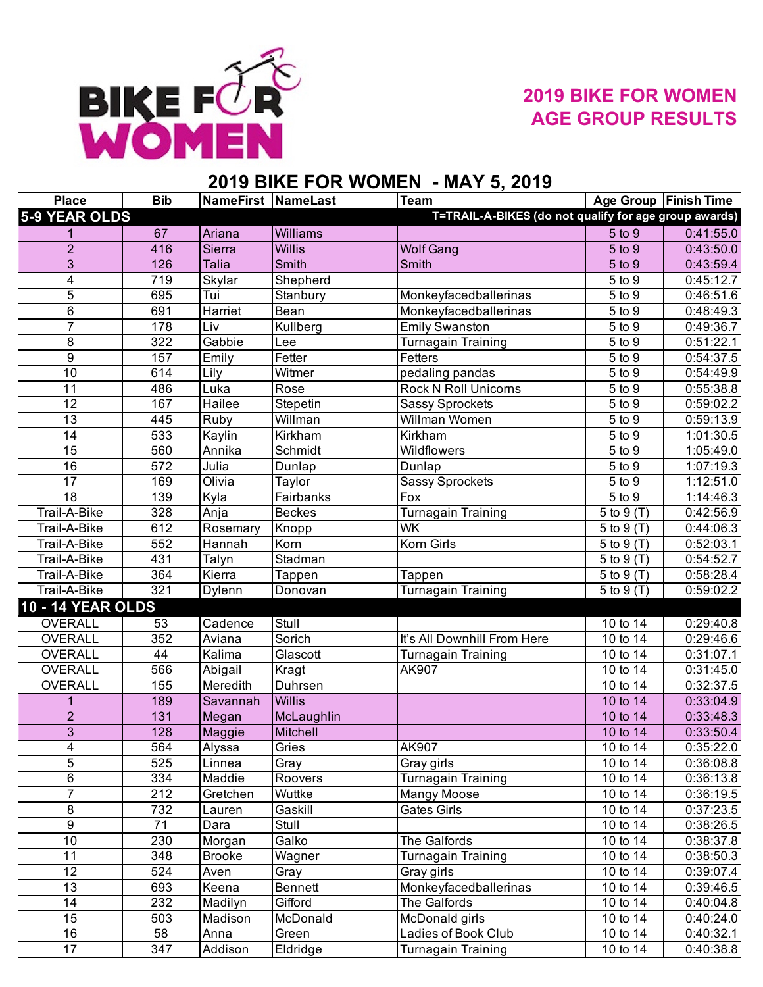

## **2019 BIKE FOR WOMEN AGE GROUP RESULTS**

## **2019 BIKE FOR WOMEN - MAY 5, 2019**

| <b>Place</b>             | <b>Bib</b>       | <b>NameFirst NameLast</b> |                 | Team                                                  |                         | Age Group   Finish Time |
|--------------------------|------------------|---------------------------|-----------------|-------------------------------------------------------|-------------------------|-------------------------|
| 5-9 YEAR OLDS            |                  |                           |                 | T=TRAIL-A-BIKES (do not qualify for age group awards) |                         |                         |
|                          | 67               | Ariana                    | <b>Williams</b> |                                                       | 5 to 9                  | 0:41:55.0               |
| $\overline{2}$           | 416              | Sierra                    | <b>Willis</b>   | <b>Wolf Gang</b>                                      | $5$ to $9$              | 0:43:50.0               |
| $\overline{3}$           | 126              | <b>Talia</b>              | <b>Smith</b>    | <b>Smith</b>                                          | $5$ to $9$              | 0:43:59.4               |
| 4                        | 719              | Skylar                    | Shepherd        |                                                       | 5 to 9                  | 0:45:12.7               |
| 5                        | 695              | Tui                       | Stanbury        | Monkeyfacedballerinas                                 | $\frac{1}{5}$ to 9      | 0:46:51.6               |
| $\overline{6}$           | 691              | Harriet                   | Bean            | Monkeyfacedballerinas                                 | $\overline{5}$ to 9     | 0:48:49.3               |
| $\overline{7}$           | 178              | Liv                       | Kullberg        | <b>Emily Swanston</b>                                 | 5 to 9                  | 0:49:36.7               |
| $\overline{8}$           | $\overline{322}$ | Gabbie                    | Lee             | <b>Turnagain Training</b>                             | 5 to 9                  | 0:51:22.1               |
| $\overline{9}$           | 157              | Emily                     | Fetter          | Fetters                                               | $5$ to $9$              | 0:54:37.5               |
| $\overline{10}$          | 614              | Lily                      | Witmer          | pedaling pandas                                       | 5 to 9                  | 0:54:49.9               |
| 11                       | 486              | Luka                      | Rose            | <b>Rock N Roll Unicorns</b>                           | 5 to 9                  | 0:55:38.8               |
| $\overline{12}$          | 167              | Hailee                    | Stepetin        | <b>Sassy Sprockets</b>                                | $\overline{5}$ to 9     | 0:59:02.2               |
| $\overline{13}$          | 445              | <b>Ruby</b>               | Willman         | Willman Women                                         | $\frac{1}{5}$ to 9      | 0:59:13.9               |
| 14                       | 533              | Kaylin                    | Kirkham         | Kirkham                                               | $\overline{5}$ to 9     | 1:01:30.5               |
| 15                       | 560              | Annika                    | Schmidt         | Wildflowers                                           | 5 to 9                  | 1:05:49.0               |
| $\overline{16}$          | $\overline{572}$ | Julia                     | Dunlap          | Dunlap                                                | $\frac{1}{5}$ to 9      | 1:07:19.3               |
| 17                       | 169              | Olivia                    | Taylor          | <b>Sassy Sprockets</b>                                | $\overline{5}$ to 9     | 1:12:51.0               |
| $\overline{18}$          | 139              | Kyla                      | Fairbanks       | Fox                                                   | $5$ to $9$              | 1:14:46.3               |
| Trail-A-Bike             | 328              | Anja                      | <b>Beckes</b>   | <b>Turnagain Training</b>                             | 5 to 9 (T)              | 0:42:56.9               |
| Trail-A-Bike             | 612              | Rosemary                  | Knopp           | <b>WK</b>                                             | 5 to 9 (T)              | 0:44:06.3               |
| Trail-A-Bike             | 552              | Hannah                    | Korn            | <b>Korn Girls</b>                                     | 5 to 9 (T)              | 0:52:03.1               |
| Trail-A-Bike             | 431              | Talyn                     | Stadman         |                                                       | $\overline{5}$ to 9 (T) | 0:54:52.7               |
| Trail-A-Bike             | 364              | Kierra                    | Tappen          | Tappen                                                | 5 to 9 (T)              | 0:58:28.4               |
| Trail-A-Bike             | 321              | Dylenn                    | Donovan         | <b>Turnagain Training</b>                             | 5 to 9 (T)              | 0:59:02.2               |
| <b>10 - 14 YEAR OLDS</b> |                  |                           |                 |                                                       |                         |                         |
| <b>OVERALL</b>           | 53               | Cadence                   | Stull           |                                                       | 10 to 14                | 0:29:40.8               |
| OVERALL                  | 352              | Aviana                    | Sorich          | It's All Downhill From Here                           | 10 to 14                | 0:29:46.6               |
| OVERALL                  | 44               | Kalima                    | Glascott        | <b>Turnagain Training</b>                             | 10 to 14                | 0:31:07.1               |
| <b>OVERALL</b>           | 566              | Abigail                   | Kragt           | AK907                                                 | 10 to $14$              | 0:31:45.0               |
| <b>OVERALL</b>           | 155              | Meredith                  | Duhrsen         |                                                       | 10 to 14                | 0:32:37.5               |
| 1                        | 189              | Savannah                  | <b>Willis</b>   |                                                       | 10 to 14                | 0:33:04.9               |
| $\overline{a}$           | 131              | Megan                     | McLaughlin      |                                                       | 10 to 14                | 0:33:48.3               |
| $\overline{3}$           | 128              | Maggie                    | Mitchell        |                                                       | $10$ to 14              | 0:33:50.4               |
| 4                        | 564              | Alyssa                    | Gries           | AK907                                                 | 10 to 14                | 0:35:22.0               |
| 5                        | 525              | Linnea                    | Gray            | Gray girls                                            | 10 to 14                | 0:36:08.8               |
| 6                        | 334              | Maddie                    | Roovers         | <b>Turnagain Training</b>                             | $10$ to $14$            | 0:36:13.8               |
| $\overline{7}$           | 212              | Gretchen                  | Wuttke          | <b>Mangy Moose</b>                                    | 10 to 14                | 0:36:19.5               |
| 8                        | 732              | Lauren                    | Gaskill         | Gates Girls                                           | 10 to 14                | 0:37:23.5               |
| 9                        | 71               | Dara                      | Stull           |                                                       | 10 to 14                | 0:38:26.5               |
| 10                       | 230              | Morgan                    | Galko           | The Galfords                                          | 10 to 14                | 0:38:37.8               |
| $\overline{11}$          | 348              | <b>Brooke</b>             | Wagner          | <b>Turnagain Training</b>                             | 10 to 14                | 0:38:50.3               |
| 12                       | 524              | Aven                      | Gray            | Gray girls                                            | 10 to 14                | 0:39:07.4               |
| 13                       | 693              | Keena                     | Bennett         | Monkeyfacedballerinas                                 | 10 to 14                | 0:39:46.5               |
| 14                       | 232              | Madilyn                   | Gifford         | The Galfords                                          | 10 to 14                | 0:40:04.8               |
| 15                       | 503              | Madison                   | McDonald        | McDonald girls                                        | 10 to 14                | 0:40:24.0               |
| $\overline{16}$          | 58               | Anna                      | Green           | <b>Ladies of Book Club</b>                            | 10 to 14                | 0:40:32.1               |
| 17                       | 347              | Addison                   | Eldridge        | Turnagain Training                                    | 10 to 14                | 0:40:38.8               |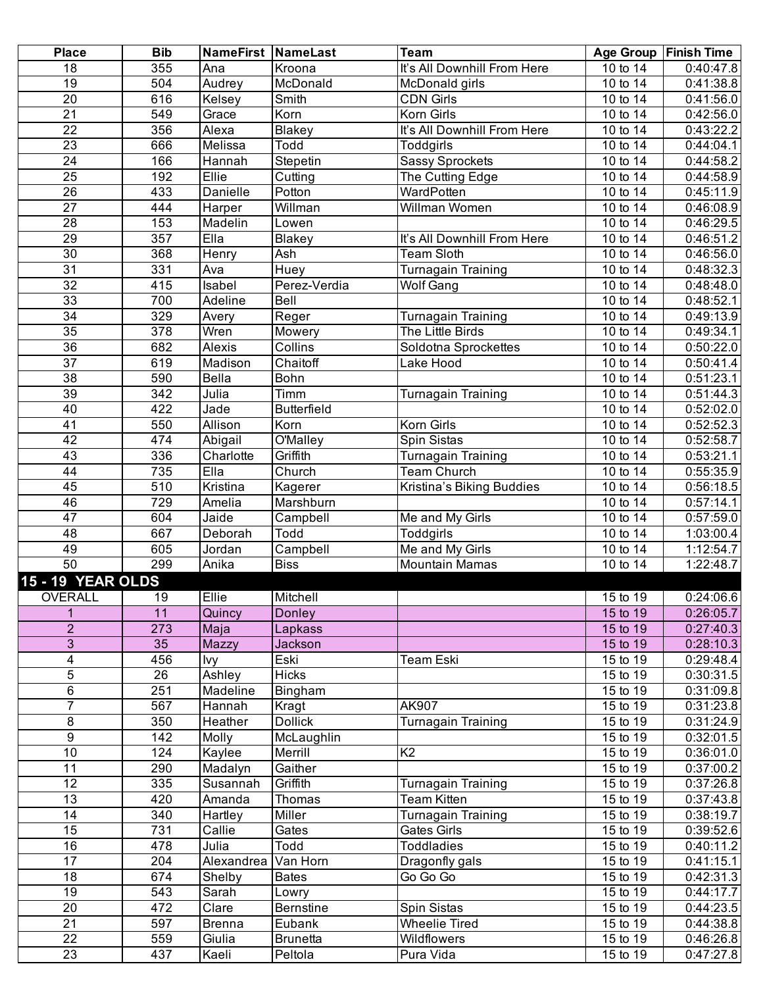| <b>Place</b>             | <b>Bib</b>       | NameFirst NameLast |                             | Team                        |                                    | Age Group   Finish Time |
|--------------------------|------------------|--------------------|-----------------------------|-----------------------------|------------------------------------|-------------------------|
| 18                       | 355              | Ana                | Kroona                      | It's All Downhill From Here | 10 to 14                           | 0.40:47.8               |
| $\overline{19}$          | 504              | Audrey             | McDonald                    | McDonald girls              | 10 to 14                           | 0:41:38.8               |
| $\overline{20}$          | 616              | <b>Kelsey</b>      | $\overline{\mathsf{Smith}}$ | <b>CDN Girls</b>            | 10 to 14                           | 0:41:56.0               |
| $\overline{21}$          | 549              | Grace              | Korn                        | Korn Girls                  | 10 to 14                           | 0:42:56.0               |
| $\overline{22}$          | 356              | Alexa              | <b>Blakey</b>               | It's All Downhill From Here | 10 to 14                           | 0:43:22.2               |
| $\overline{23}$          | 666              | Melissa            | Todd                        | Toddgirls                   | 10 to 14                           | 0:44:04.1               |
| $\overline{24}$          | 166              | Hannah             | Stepetin                    | <b>Sassy Sprockets</b>      | 10 to 14                           | 0:44:58.2               |
| 25                       | 192              | Ellie              | Cutting                     | The Cutting Edge            | 10 to 14                           | 0:44:58.9               |
| 26                       | 433              | Danielle           | Potton                      | WardPotten                  | $\overline{10}$ to 14              | 0:45:11.9               |
| $\overline{27}$          | 444              | Harper             | Willman                     | Willman Women               | 10 to 14                           | 0:46:08.9               |
| $\overline{28}$          | 153              | Madelin            | Lowen                       |                             | 10 to 14                           | 0:46:29.5               |
| $\overline{29}$          | 357              | EIIa               | <b>Blakey</b>               | It's All Downhill From Here | 10 to 14                           | 0:46:51.2               |
| 30                       | 368              | Henry              | Ash                         | <b>Team Sloth</b>           | 10 to 14                           | 0:46:56.0               |
| $\overline{31}$          | 331              | Ava                | Huey                        | Turnagain Training          | 10 to 14                           | 0:48:32.3               |
| $\overline{32}$          | 415              | Isabel             | Perez-Verdia                | <b>Wolf Gang</b>            | 10 to 14                           | 0:48:48.0               |
| 33                       | 700              | Adeline            | Bell                        |                             | 10 to 14                           | 0:48:52.1               |
| $\overline{34}$          | 329              | Avery              | Reger                       | Turnagain Training          | 10 to 14                           | 0:49:13.9               |
| 35                       | $\overline{378}$ | Wren               | Mowery                      | The Little Birds            | 10 to 14                           | 0:49:34.1               |
| 36                       | 682              | Alexis             | Collins                     | Soldotna Sprockettes        | 10 to 14                           | 0:50:22.0               |
| $\overline{37}$          | 619              | Madison            | Chaitoff                    | Lake Hood                   | 10 to 14                           | 0:50:41.4               |
| $\overline{38}$          | 590              | Bella              | Bohn                        |                             | 10 to 14                           | 0:51:23.1               |
| 39                       | 342              | Julia              | Timm                        | Turnagain Training          | 10 to 14                           | 0:51:44.3               |
| 40                       | 422              | Jade               | <b>Butterfield</b>          |                             | 10 to 14                           | 0:52:02.0               |
| $\overline{41}$          | 550              | Allison            | Korn                        | Korn Girls                  | 10 to 14                           | 0:52:52.3               |
| 42                       | 474              | Abigail            | O'Malley                    | Spin Sistas                 | $\overline{10}$ to $\overline{14}$ | 0:52:58.7               |
| 43                       | 336              | Charlotte          | Griffith                    | <b>Turnagain Training</b>   | $\overline{10}$ to $\overline{14}$ | 0:53:21.1               |
| 44                       | 735              | EIIa               | Church                      | <b>Team Church</b>          | 10 to 14                           | 0:55:35.9               |
| 45                       | 510              | Kristina           | Kagerer                     | Kristina's Biking Buddies   | 10 to 14                           | 0:56:18.5               |
| 46                       | 729              | Amelia             | Marshburn                   |                             | 10 to 14                           | 0:57:14.1               |
| $\overline{47}$          | 604              | Jaide              | Campbell                    | Me and My Girls             | $\overline{10}$ to 14              | 0:57:59.0               |
| $\overline{48}$          | 667              | Deborah            | Todd                        | Toddgirls                   | 10 to 14                           | 1:03:00.4               |
| 49                       | 605              | Jordan             | Campbell                    | Me and My Girls             | 10 to 14                           | 1:12:54.7               |
| 50                       | 299              | Anika              | <b>Biss</b>                 | <b>Mountain Mamas</b>       | 10 to 14                           | 1:22:48.7               |
| <b>15 - 19 YEAR OLDS</b> |                  |                    |                             |                             |                                    |                         |
| OVERALL                  | 19               | Ellie              | Mitchell                    |                             | 15 to 19                           | 0:24:06.6               |
| $\mathbf{1}$             | 11               | Quincy             | <b>Donley</b>               |                             | 15 to 19                           | 0:26:05.7               |
| $\overline{2}$           | 273              | Maja               | Lapkass                     |                             | 15 to 19                           | 0:27:40.3               |
| 3                        | 35               | Mazzy              | Jackson                     |                             | 15 to 19                           | 0:28:10.3               |
| $\overline{4}$           | 456              | lvy                | Eski                        | Team Eski                   | 15 to 19                           | 0:29:48.4               |
| 5                        | 26               | Ashley             | <b>Hicks</b>                |                             | 15 to 19                           | 0:30:31.5               |
| 6                        | 251              | Madeline           | Bingham                     |                             | 15 to 19                           | 0:31:09.8               |
| $\overline{7}$           | 567              | Hannah             | Kragt                       | AK907                       | 15 to 19                           | 0:31:23.8               |
| 8                        | 350              | Heather            | <b>Dollick</b>              | Turnagain Training          | 15 to 19                           | 0:31:24.9               |
| $\overline{9}$           | 142              | Molly              | McLaughlin                  |                             | 15 to 19                           | 0:32:01.5               |
| 10                       | 124              | Kaylee             | Merrill                     | K <sub>2</sub>              | 15 to 19                           | 0:36:01.0               |
| $\overline{11}$          | 290              | Madalyn            | Gaither                     |                             | 15 to 19                           | 0:37:00.2               |
| $\overline{12}$          | 335              | Susannah           | Griffith                    | Turnagain Training          | 15 to 19                           | 0:37:26.8               |
| 13                       | 420              | Amanda             | Thomas                      | Team Kitten                 | 15 to 19                           | 0:37:43.8               |
| $\overline{14}$          | 340              | Hartley            | Miller                      | Turnagain Training          | 15 to 19                           | 0:38:19.7               |
| 15                       | 731              | Callie             | Gates                       | Gates Girls                 | 15 to 19                           | 0:39:52.6               |
| 16                       | 478              | Julia              | Todd                        | <b>Toddladies</b>           | 15 to 19                           | 0:40:11.2               |
| 17                       | 204              | Alexandrea         | Van Horn                    | Dragonfly gals              | 15 to 19                           | 0:41:15.1               |
| 18                       | 674              | Shelby             | <b>Bates</b>                | Go Go Go                    | 15 to 19                           | 0:42:31.3               |
| 19                       | 543              | Sarah              | Lowry                       |                             | 15 to 19                           | 0:44:17.7               |
| 20                       | 472              | Clare              | <b>Bernstine</b>            | Spin Sistas                 | 15 to 19                           | 0:44:23.5               |
| $\overline{21}$          | 597              | <b>Brenna</b>      | Eubank                      | <b>Wheelie Tired</b>        | 15 to 19                           | 0:44:38.8               |
| $\overline{22}$          | 559              | Giulia             | <b>Brunetta</b>             | Wildflowers                 | 15 to 19                           | 0:46:26.8               |
| $\overline{23}$          | 437              | Kaeli              | Peltola                     | Pura Vida                   | 15 to 19                           | 0:47:27.8               |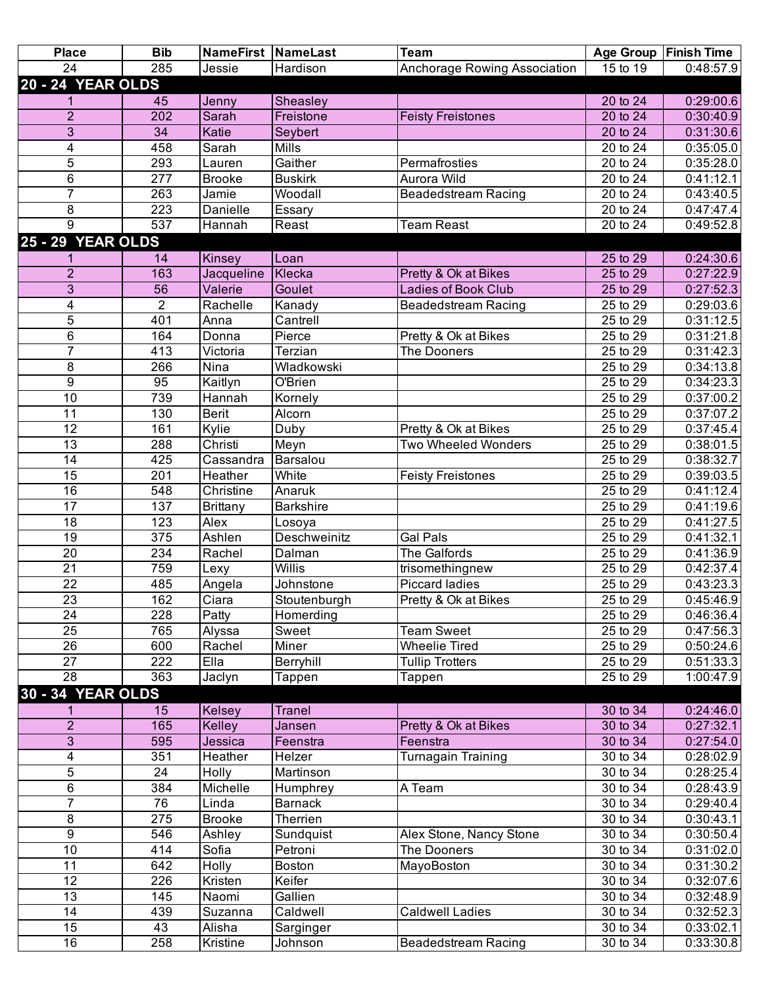| <b>Place</b>             | <b>Bib</b>       |                 | <b>NameFirst NameLast</b> | <b>Team</b>                  |          | Age Group   Finish Time |
|--------------------------|------------------|-----------------|---------------------------|------------------------------|----------|-------------------------|
| 24                       | 285              | Jessie          | Hardison                  | Anchorage Rowing Association | 15 to 19 | 0:48:57.9               |
| <b>20 - 24 YEAR OLDS</b> |                  |                 |                           |                              |          |                         |
|                          | 45               | Jenny           | Sheasley                  |                              | 20 to 24 | 0:29:00.6               |
| $\overline{2}$           | 202              | Sarah           | Freistone                 | <b>Feisty Freistones</b>     | 20 to 24 | 0:30:40.9               |
| $\overline{3}$           | 34               | Katie           | Seybert                   |                              | 20 to 24 | 0:31:30.6               |
| 4                        | 458              | Sarah           | <b>Mills</b>              |                              | 20 to 24 | 0:35:05.0               |
| 5                        | 293              | Lauren          | Gaither                   | Permafrosties                | 20 to 24 | 0:35:28.0               |
| 6                        | 277              | <b>Brooke</b>   | <b>Buskirk</b>            | Aurora Wild                  | 20 to 24 | 0:41:12.1               |
| 7                        | 263              | Jamie           | Woodall                   | <b>Beadedstream Racing</b>   | 20 to 24 | 0:43:40.5               |
| 8                        | $\overline{223}$ | Danielle        | Essary                    |                              | 20 to 24 | 0:47:47.4               |
| 9                        | 537              | Hannah          | Reast                     | <b>Team Reast</b>            | 20 to 24 | 0:49:52.8               |
| <b>25 - 29 YEAR OLDS</b> |                  |                 |                           |                              |          |                         |
|                          | 14               | Kinsey          | Loan                      |                              | 25 to 29 | 0:24:30.6               |
| $\overline{2}$           | 163              | Jacqueline      | Klecka                    | Pretty & Ok at Bikes         | 25 to 29 | 0:27:22.9               |
| 3                        | 56               | Valerie         | Goulet                    | <b>Ladies of Book Club</b>   | 25 to 29 | 0:27:52.3               |
| $\overline{4}$           | $\overline{2}$   | Rachelle        | Kanady                    | <b>Beadedstream Racing</b>   | 25 to 29 | 0:29:03.6               |
| $\overline{5}$           | 401              | Anna            | Cantrell                  |                              | 25 to 29 | 0:31:12.5               |
| 6                        | 164              | Donna           | Pierce                    | Pretty & Ok at Bikes         | 25 to 29 | 0:31:21.8               |
| 7                        | 413              | Victoria        | Terzian                   | The Dooners                  | 25 to 29 | 0:31:42.3               |
|                          | 266              | Nina            | Wladkowski                |                              | 25 to 29 | 0:34:13.8               |
| 8<br>9                   | 95               |                 | O'Brien                   |                              | 25 to 29 |                         |
|                          |                  | Kaitlyn         |                           |                              |          | 0:34:23.3               |
| 10                       | 739              | Hannah          | Kornely                   |                              | 25 to 29 | 0:37:00.2               |
| $\overline{11}$          | 130              | <b>Berit</b>    | Alcorn                    |                              | 25 to 29 | 0:37:07.2               |
| $\overline{12}$          | 161              | Kylie           | Duby                      | Pretty & Ok at Bikes         | 25 to 29 | 0:37:45.4               |
| 13                       | 288              | Christi         | Meyn                      | Two Wheeled Wonders          | 25 to 29 | 0:38:01.5               |
| 14                       | 425              | Cassandra       | Barsalou                  |                              | 25 to 29 | 0:38:32.7               |
| $\overline{15}$          | 201              | Heather         | White                     | <b>Feisty Freistones</b>     | 25 to 29 | 0:39:03.5               |
| $\overline{16}$          | 548              | Christine       | Anaruk                    |                              | 25 to 29 | 0:41:12.4               |
| $\overline{17}$          | 137              | <b>Brittany</b> | <b>Barkshire</b>          |                              | 25 to 29 | 0:41:19.6               |
| 18                       | 123              | Alex            | Losoya                    |                              | 25 to 29 | 0:41:27.5               |
| $\overline{19}$          | 375              | Ashlen          | Deschweinitz              | <b>Gal Pals</b>              | 25 to 29 | 0:41:32.1               |
| 20                       | 234              | Rachel          | Dalman                    | The Galfords                 | 25 to 29 | 0:41:36.9               |
| $\overline{21}$          | 759              | Lexy            | Willis                    | trisomethingnew              | 25 to 29 | 0:42:37.4               |
| 22                       | 485              | Angela          | Johnstone                 | <b>Piccard ladies</b>        | 25 to 29 | 0:43:23.3               |
| $\overline{23}$          | 162              | Ciara           | Stoutenburgh              | Pretty & Ok at Bikes         | 25 to 29 | 0:45:46.9               |
| 24                       | 228              | Patty           | Homerding                 |                              | 25 to 29 | 0:46:36.4               |
| 25                       | 765              | Alyssa          | Sweet                     | <b>Team Sweet</b>            | 25 to 29 | 0:47:56.3               |
| $\overline{26}$          | 600              | Rachel          | Miner                     | <b>Wheelie Tired</b>         | 25 to 29 | 0:50:24.6               |
| 27                       | 222              | Ella            | Berryhill                 | <b>Tullip Trotters</b>       | 25 to 29 | 0:51:33.3               |
| $\overline{28}$          | 363              | Jaclyn          | Tappen                    | Tappen                       | 25 to 29 | 1:00:47.9               |
| 30 - 34 YEAR OLDS        |                  |                 |                           |                              |          |                         |
|                          | 15               | <b>Kelsey</b>   | <b>Tranel</b>             |                              | 30 to 34 | 0:24:46.0               |
| $\overline{2}$           | 165              | Kelley          | Jansen                    | Pretty & Ok at Bikes         | 30 to 34 | 0:27:32.1               |
| 3                        | 595              | Jessica         | Feenstra                  | Feenstra                     | 30 to 34 | 0:27:54.0               |
| 4                        | 351              | Heather         | Helzer                    | Turnagain Training           | 30 to 34 | 0:28:02.9               |
| $\overline{5}$           | 24               | Holly           | Martinson                 |                              | 30 to 34 | 0:28:25.4               |
| 6                        | 384              | Michelle        | Humphrey                  | A Team                       | 30 to 34 | 0:28:43.9               |
| 7                        | $\overline{76}$  | Linda           | <b>Barnack</b>            |                              | 30 to 34 | 0:29:40.4               |
| 8                        | 275              | <b>Brooke</b>   | Therrien                  |                              | 30 to 34 | 0:30:43.1               |
| $\overline{9}$           | 546              | Ashley          | Sundquist                 | Alex Stone, Nancy Stone      | 30 to 34 | 0:30:50.4               |
| 10                       | 414              | Sofia           | Petroni                   | The Dooners                  | 30 to 34 | 0:31:02.0               |
| 11                       | 642              | Holly           | <b>Boston</b>             | MayoBoston                   | 30 to 34 | 0:31:30.2               |
| 12                       |                  |                 | Keifer                    |                              |          |                         |
|                          | 226              | Kristen         | Gallien                   |                              | 30 to 34 | 0:32:07.6               |
| 13                       | 145              | Naomi           |                           |                              | 30 to 34 | 0:32:48.9               |
| 14                       | 439              | Suzanna         | Caldwell                  | <b>Caldwell Ladies</b>       | 30 to 34 | 0:32:52.3               |
| 15                       | 43               | Alisha          | Sarginger                 |                              | 30 to 34 | 0:33:02.1               |
| 16                       | 258              | Kristine        | Johnson                   | <b>Beadedstream Racing</b>   | 30 to 34 | 0:33:30.8               |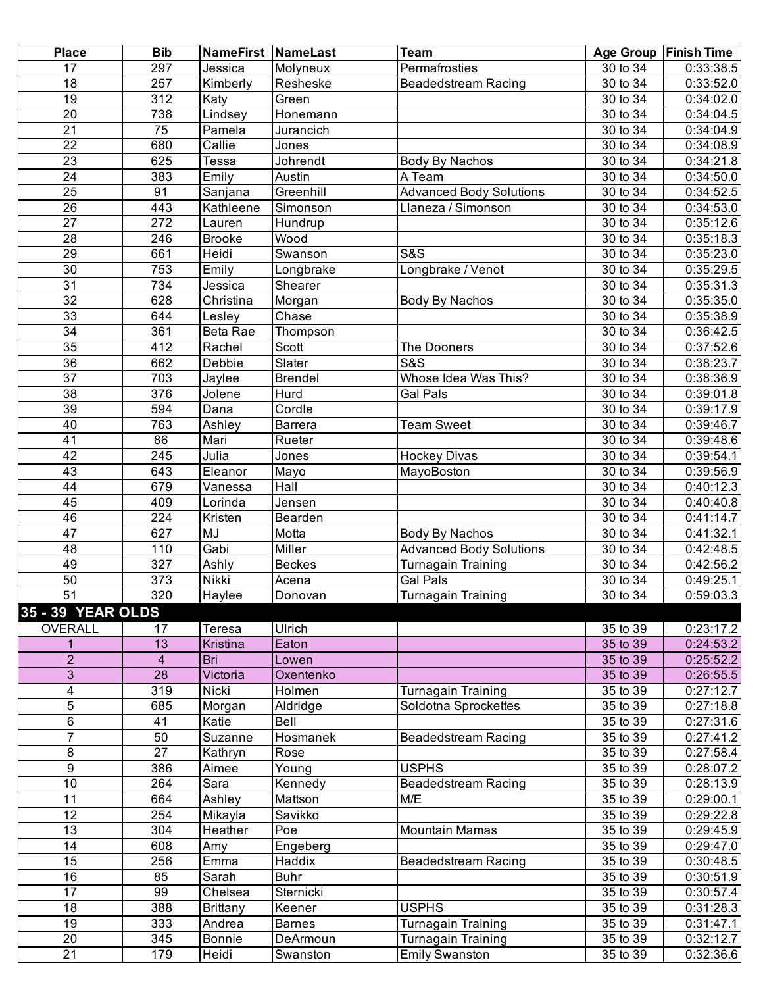| <b>Place</b>          | <b>Bib</b>      |                 | NameFirst   NameLast | <b>Team</b>                    |                       | Age Group   Finish Time |
|-----------------------|-----------------|-----------------|----------------------|--------------------------------|-----------------------|-------------------------|
| 17                    | 297             | Jessica         | Molyneux             | Permafrosties                  | $\overline{30}$ to 34 | 0:33:38.5               |
| $\overline{18}$       | 257             | Kimberly        | Resheske             | <b>Beadedstream Racing</b>     | 30 to 34              | 0:33:52.0               |
| $\overline{19}$       | 312             | Katy            | Green                |                                | 30 to 34              | 0:34:02.0               |
| $\overline{20}$       | 738             | Lindsey         | Honemann             |                                | 30 to 34              | 0:34:04.5               |
| $\overline{21}$       | $\overline{75}$ | Pamela          | Jurancich            |                                | 30 to 34              | 0:34:04.9               |
| $\overline{22}$       | 680             | Callie          | Jones                |                                | 30 to 34              | 0:34:08.9               |
| 23                    | 625             | Tessa           | Johrendt             | <b>Body By Nachos</b>          | 30 to 34              | 0:34:21.8               |
| $\overline{24}$       | 383             | Emily           | Austin               | A Team                         | 30 to 34              | 0:34:50.0               |
| $\overline{25}$       | 91              | Sanjana         | Greenhill            | <b>Advanced Body Solutions</b> | 30 to 34              | 0:34:52.5               |
| 26                    | 443             | Kathleene       | Simonson             | Llaneza / Simonson             | 30 to 34              | 0:34:53.0               |
| $\overline{27}$       | 272             | Lauren          | Hundrup              |                                | 30 to 34              | 0:35:12.6               |
| 28                    | 246             | <b>Brooke</b>   | Wood                 |                                | 30 to 34              | 0:35:18.3               |
| $\overline{29}$       | 661             | Heidi           | Swanson              | <b>S&amp;S</b>                 | 30 to 34              | 0:35:23.0               |
| 30                    | 753             | Emily           | Longbrake            | Longbrake / Venot              | 30 to 34              | 0:35:29.5               |
| $\overline{31}$       | 734             | Jessica         | Shearer              |                                | $\overline{30}$ to 34 | 0:35:31.3               |
| $\overline{32}$       | 628             | Christina       | Morgan               | <b>Body By Nachos</b>          | 30 to 34              | 0:35:35.0               |
| 33                    | 644             | Lesley          | Chase                |                                | 30 to 34              | 0:35:38.9               |
| $\overline{34}$       | 361             | Beta Rae        | Thompson             |                                | 30 to 34              | 0:36:42.5               |
| 35                    | 412             | Rachel          | Scott                | The Dooners                    | 30 to 34              | 0:37:52.6               |
| 36                    | 662             | Debbie          | Slater               | <b>S&amp;S</b>                 | 30 to 34              | 0:38:23.7               |
| $\overline{37}$       | 703             | Jaylee          | <b>Brendel</b>       | Whose Idea Was This?           | 30 to 34              | 0:38:36.9               |
| $\overline{38}$       | 376             | Jolene          | Hurd                 | Gal Pals                       | 30 to 34              | 0:39:01.8               |
| 39                    | 594             | Dana            | Cordle               |                                | 30 to 34              | 0:39:17.9               |
| 40                    | 763             | Ashley          | <b>Barrera</b>       | <b>Team Sweet</b>              | 30 to 34              | 0:39:46.7               |
| $\overline{41}$       | 86              | Mari            | Rueter               |                                | 30 to 34              | 0:39:48.6               |
| 42                    | 245             | Julia           | Jones                | <b>Hockey Divas</b>            | 30 to 34              | 0:39:54.1               |
| $\overline{43}$       | 643             | Eleanor         | Mayo                 | MayoBoston                     | 30 to 34              | 0:39:56.9               |
| 44                    | 679             | Vanessa         | Hall                 |                                | 30 to 34              | 0:40:12.3               |
| 45                    | 409             | Lorinda         | Jensen               |                                | 30 to 34              | 0:40:40.8               |
| 46                    | 224             | Kristen         |                      |                                | 30 to 34              | 0:41:14.7               |
| 47                    | 627             | MJ              | Bearden<br>Motta     | <b>Body By Nachos</b>          | 30 to 34              | 0:41:32.1               |
| 48                    | 110             | Gabi            | Miller               | <b>Advanced Body Solutions</b> | 30 to 34              | 0:42:48.5               |
| 49                    | 327             |                 | <b>Beckes</b>        | Turnagain Training             | 30 to 34              | 0:42:56.2               |
|                       |                 | Ashly           |                      |                                |                       |                         |
| 50<br>$\overline{51}$ | 373             | Nikki           | Acena                | Gal Pals                       | 30 to 34              | 0:49:25.1               |
|                       | 320             | Haylee          | Donovan              | <b>Turnagain Training</b>      | 30 to 34              | 0:59:03.3               |
| 35 - 39 YEAR OLDS     |                 |                 |                      |                                |                       |                         |
| <b>OVERALL</b>        | 17              | Teresa          | <b>Ulrich</b>        |                                | $\overline{35}$ to 39 | 0:23:17.2               |
| 1                     | 13              | Kristina        | Eaton                |                                | 35 to 39              | 0:24:53.2               |
| $\overline{c}$        | $\overline{4}$  | Bri             | Lowen                |                                | 35 to 39              | 0:25:52.2               |
| $\overline{3}$        | $\overline{28}$ | Victoria        | Oxentenko            |                                | 35 to 39              | 0:26:55.5               |
| 4                     | 319             | Nicki           | Holmen               | Turnagain Training             | $\overline{35}$ to 39 | 0:27:12.7               |
| 5                     | 685             | Morgan          | Aldridge             | Soldotna Sprockettes           | 35 to 39              | 0:27:18.8               |
| $\overline{6}$        | 41              | Katie           | Bell                 |                                | 35 to 39              | 0:27:31.6               |
| $\overline{7}$        | 50              | Suzanne         | Hosmanek             | <b>Beadedstream Racing</b>     | 35 to 39              | 0:27:41.2               |
| 8                     | 27              | Kathryn         | Rose                 |                                | 35 to 39              | 0:27:58.4               |
| $\overline{9}$        | 386             | Aimee           | Young                | <b>USPHS</b>                   | 35 to 39              | 0:28:07.2               |
| 10                    | 264             | Sara            | Kennedy              | <b>Beadedstream Racing</b>     | 35 to 39              | 0:28:13.9               |
| 11                    | 664             | Ashley          | Mattson              | M/E                            | 35 to 39              | 0:29:00.1               |
| 12                    | 254             | Mikayla         | Savikko              |                                | 35 to 39              | 0:29:22.8               |
| $\overline{13}$       | 304             | Heather         | Poe                  | <b>Mountain Mamas</b>          | 35 to 39              | 0:29:45.9               |
| 14                    | 608             | Amy             | Engeberg             |                                | 35 to 39              | 0:29:47.0               |
| 15                    | 256             | Emma            | Haddix               | <b>Beadedstream Racing</b>     | 35 to 39              | 0:30:48.5               |
| 16                    | 85              | Sarah           | <b>Buhr</b>          |                                | $\overline{35}$ to 39 | 0:30:51.9               |
| 17                    | 99              | Chelsea         | Sternicki            |                                | 35 to 39              | 0:30:57.4               |
| $\overline{18}$       | 388             | <b>Brittany</b> | Keener               | <b>USPHS</b>                   | 35 to 39              | 0:31:28.3               |
| $\overline{19}$       | 333             | Andrea          | <b>Barnes</b>        | <b>Turnagain Training</b>      | 35 to 39              | 0:31:47.1               |
| $\overline{20}$       | 345             | <b>Bonnie</b>   | DeArmoun             | Turnagain Training             | 35 to 39              | 0:32:12.7               |
| $\overline{21}$       | 179             | Heidi           | Swanston             | <b>Emily Swanston</b>          | 35 to 39              | 0:32:36.6               |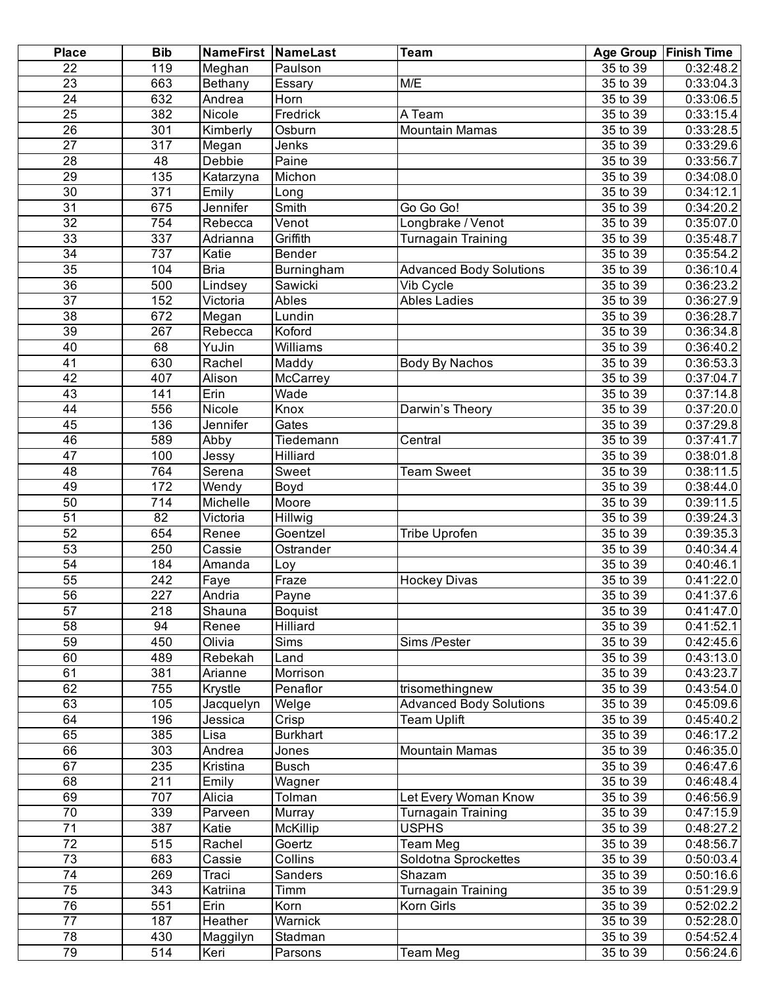| <b>Place</b>    | <b>Bib</b>       | <b>NameFirst NameLast</b> |                 | <b>Team</b>                    |                       | Age Group   Finish Time |
|-----------------|------------------|---------------------------|-----------------|--------------------------------|-----------------------|-------------------------|
| 22              | 119              | Meghan                    | Paulson         |                                | 35 to 39              | $\overline{0.32:48.2}$  |
| 23              | 663              | Bethany                   | Essary          | M/E                            | 35 to 39              | 0:33:04.3               |
| $\overline{24}$ | 632              | Andrea                    | Horn            |                                | 35 to 39              | 0:33:06.5               |
| $\overline{25}$ | 382              | Nicole                    | Fredrick        | A Team                         | 35 to 39              | 0:33:15.4               |
| $\overline{26}$ | 301              | Kimberly                  | Osburn          | <b>Mountain Mamas</b>          | 35 to 39              | 0:33:28.5               |
| $\overline{27}$ | $\overline{317}$ | Megan                     | Jenks           |                                | 35 to 39              | 0:33:29.6               |
| 28              | 48               | <b>Debbie</b>             | Paine           |                                | 35 to 39              | 0:33:56.7               |
| $\overline{29}$ | 135              | Katarzyna                 | Michon          |                                | 35 to 39              | 0:34:08.0               |
| $\overline{30}$ | 371              | Emily                     | Long            |                                | 35 to 39              | 0:34:12.1               |
| $\overline{31}$ | 675              | Jennifer                  | Smith           | Go Go Go!                      | 35 to 39              | 0:34:20.2               |
| $\overline{32}$ | 754              | Rebecca                   | Venot           | Longbrake / Venot              | $\overline{35}$ to 39 | 0:35:07.0               |
| 33              | 337              | Adrianna                  | Griffith        | Turnagain Training             | 35 to 39              | 0:35:48.7               |
| 34              | 737              | Katie                     | Bender          |                                | 35 to 39              | 0:35:54.2               |
| $\overline{35}$ | 104              | <b>Bria</b>               | Burningham      | <b>Advanced Body Solutions</b> | 35 to 39              | 0:36:10.4               |
| $\overline{36}$ | 500              | Lindsey                   | Sawicki         | Vib Cycle                      | $35$ to $39$          | 0:36:23.2               |
| $\overline{37}$ | 152              | Victoria                  | Ables           | <b>Ables Ladies</b>            | 35 to 39              | 0:36:27.9               |
| 38              | 672              | Megan                     | Lundin          |                                | 35 to 39              | 0:36:28.7               |
| $\overline{39}$ | 267              | Rebecca                   | Koford          |                                | 35 to 39              | 0:36:34.8               |
| 40              | 68               | YuJin                     | Williams        |                                | 35 to 39              | 0:36:40.2               |
| $\overline{41}$ | 630              | Rachel                    | Maddy           | Body By Nachos                 | 35 to 39              | 0:36:53.3               |
| $\overline{42}$ | 407              | Alison                    | McCarrey        |                                | 35 to 39              | 0:37:04.7               |
| 43              | $\overline{141}$ | Erin                      | Wade            |                                | 35 to 39              | 0:37:14.8               |
| $\overline{44}$ | 556              | Nicole                    | Knox            | Darwin's Theory                | 35 to 39              | 0:37:20.0               |
| 45              | 136              | <b>Jennifer</b>           | Gates           |                                | 35 to 39              | 0:37:29.8               |
| 46              | 589              | Abby                      | Tiedemann       | Central                        | $35$ to $39$          | 0:37:41.7               |
| 47              | 100              | Jessy                     | Hilliard        |                                | 35 to 39              | 0:38:01.8               |
| 48              | 764              | Serena                    | Sweet           | <b>Team Sweet</b>              | 35 to 39              | 0:38:11.5               |
| 49              | 172              | Wendy                     | Boyd            |                                | 35 to 39              | 0:38:44.0               |
| 50              | 714              | Michelle                  | Moore           |                                | 35 to 39              | 0:39:11.5               |
| $\overline{51}$ | 82               | Victoria                  | <b>Hillwig</b>  |                                | 35 to 39              | 0:39:24.3               |
| $\overline{52}$ | 654              | Renee                     | Goentzel        | <b>Tribe Uprofen</b>           | 35 to 39              | 0:39:35.3               |
| 53              | 250              | Cassie                    | Ostrander       |                                | 35 to 39              | 0:40:34.4               |
| $\overline{54}$ | 184              | Amanda                    | Loy             |                                | 35 to 39              | 0:40:46.1               |
| 55              | 242              | Faye                      | Fraze           | <b>Hockey Divas</b>            | $\overline{35}$ to 39 | 0:41:22.0               |
| 56              | $\overline{227}$ | Andria                    | Payne           |                                | 35 to 39              | 0:41:37.6               |
| 57              | 218              | Shauna                    | <b>Boquist</b>  |                                | 35 to 39              | 0:41:47.0               |
| $\overline{58}$ | 94               | Renee                     | Hilliard        |                                | 35 to 39              | 0:41:52.1               |
| $\overline{59}$ | 450              | Olivia                    | Sims            | Sims /Pester                   | 35 to 39              | 0:42:45.6               |
| 60              | 489              | Rebekah                   | Land            |                                | 35 to 39              | 0:43:13.0               |
| 61              | 381              | Arianne                   | Morrison        |                                | 35 to 39              | 0:43:23.7               |
| 62              | 755              | Krystle                   | Penaflor        | trisomethingnew                | 35 to 39              | 0:43:54.0               |
| 63              | 105              | Jacquelyn                 | Welge           | <b>Advanced Body Solutions</b> | 35 to 39              | 0:45:09.6               |
| 64              | 196              | Jessica                   | Crisp           | <b>Team Uplift</b>             | 35 to 39              | 0:45:40.2               |
| 65              | 385              | Lisa                      | <b>Burkhart</b> |                                | 35 to 39              | 0:46:17.2               |
| 66              | 303              | Andrea                    | Jones           | <b>Mountain Mamas</b>          | 35 to 39              | 0:46:35.0               |
| 67              | 235              | Kristina                  | <b>Busch</b>    |                                | 35 to 39              | 0:46:47.6               |
| 68              | 211              | Emily                     | Wagner          |                                | 35 to 39              | 0:46:48.4               |
| 69              | 707              | Alicia                    | Tolman          | Let Every Woman Know           | 35 to 39              | 0:46:56.9               |
| $\overline{70}$ | 339              | Parveen                   | Murray          | <b>Turnagain Training</b>      | 35 to 39              | 0:47:15.9               |
| $\overline{71}$ | 387              | Katie                     | McKillip        | <b>USPHS</b>                   | 35 to 39              | 0:48:27.2               |
| $\overline{72}$ | 515              | Rachel                    | Goertz          | Team Meg                       | 35 to 39              | 0:48:56.7               |
| $\overline{73}$ | 683              | Cassie                    | Collins         | Soldotna Sprockettes           | 35 to 39              | 0:50:03.4               |
| $\overline{74}$ | 269              | Traci                     | Sanders         | Shazam                         | 35 to 39              | 0:50:16.6               |
| $\overline{75}$ | 343              | Katriina                  | Timm            | <b>Turnagain Training</b>      | 35 to 39              | 0:51:29.9               |
| $\overline{76}$ | 551              | Erin                      | Korn            | Korn Girls                     | 35 to 39              | 0:52:02.2               |
| 77              | 187              | Heather                   | Warnick         |                                | 35 to 39              | 0:52:28.0               |
| 78              |                  |                           | Stadman         |                                | $\overline{35}$ to 39 |                         |
|                 | 430              | Maggilyn                  |                 |                                |                       | 0:54:52.4               |
| 79              | 514              | Keri                      | Parsons         | Team Meg                       | 35 to 39              | 0:56:24.6               |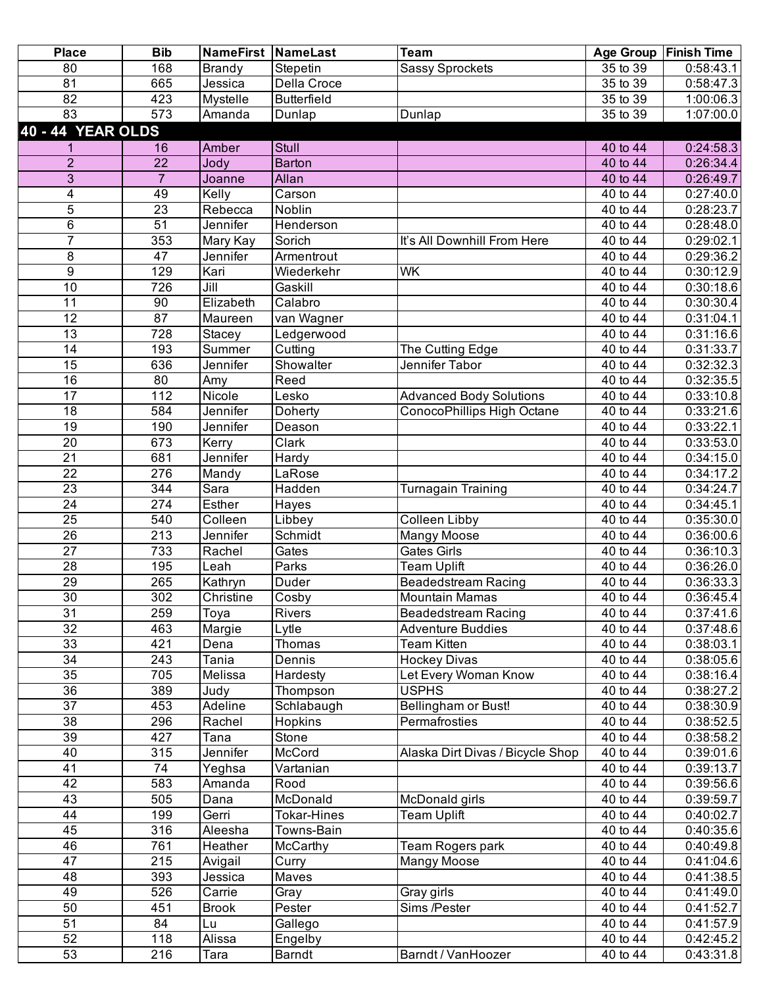| <b>Place</b>             | <b>Bib</b>       | <b>NameFirst NameLast</b>  |                    | <b>Team</b>                      | <b>Age Group</b>      | <b>Finish Time</b> |
|--------------------------|------------------|----------------------------|--------------------|----------------------------------|-----------------------|--------------------|
| 80                       | 168              | <b>Brandy</b>              | Stepetin           | <b>Sassy Sprockets</b>           | 35 to 39              | 0:58:43.1          |
| $\overline{81}$          | 665              | Jessica                    | Della Croce        |                                  | 35 to 39              | 0:58:47.3          |
| 82                       | 423              | Mystelle                   | <b>Butterfield</b> |                                  | 35 to 39              | 1:00:06.3          |
| $\overline{83}$          | 573              | Amanda                     | Dunlap             | Dunlap                           | 35 to 39              | 1:07:00.0          |
| <b>40 - 44 YEAR OLDS</b> |                  |                            |                    |                                  |                       |                    |
| 1                        | 16               | Amber                      | <b>Stull</b>       |                                  | 40 to 44              | 0:24:58.3          |
| $\overline{2}$           | 22               | Jody                       | <b>Barton</b>      |                                  | 40 to 44              | 0:26:34.4          |
| $\overline{3}$           | $\overline{7}$   | Joanne                     | Allan              |                                  | 40 to 44              | 0:26:49.7          |
| 4                        | 49               | Kelly                      | Carson             |                                  | 40 to 44              | 0:27:40.0          |
| $\overline{5}$           | 23               | Rebecca                    | Noblin             |                                  | 40 to 44              | 0:28:23.7          |
| 6                        | 51               | Jennifer                   | Henderson          |                                  | 40 to 44              | 0:28:48.0          |
| $\overline{7}$           | 353              | Mary Kay                   | Sorich             | It's All Downhill From Here      | $\overline{40}$ to 44 | 0:29:02.1          |
| 8                        | 47               | Jennifer                   | Armentrout         |                                  | 40 to 44              | 0:29:36.2          |
| 9                        | 129              | Kari                       | Wiederkehr         | <b>WK</b>                        | 40 to 44              | 0:30:12.9          |
| $\overline{10}$          | 726              | $\overline{\mathsf{Jill}}$ | Gaskill            |                                  | $\overline{40}$ to 44 | 0:30:18.6          |
| $\overline{11}$          | 90               | Elizabeth                  | Calabro            |                                  | 40 to 44              | 0:30:30.4          |
| $\overline{12}$          | 87               | Maureen                    | van Wagner         |                                  | 40 to 44              | 0:31:04.1          |
| 13                       | 728              | Stacey                     | Ledgerwood         |                                  | 40 to 44              | 0:31:16.6          |
| $\overline{14}$          | 193              | Summer                     | Cutting            | The Cutting Edge                 | 40 to 44              | 0:31:33.7          |
| $\overline{15}$          | 636              | Jennifer                   | Showalter          | Jennifer Tabor                   | 40 to 44              | 0:32:32.3          |
| $\overline{16}$          | 80               | Amy                        | Reed               |                                  | 40 to 44              | 0:32:35.5          |
| $\overline{17}$          | 112              | Nicole                     | Lesko              | <b>Advanced Body Solutions</b>   | 40 to 44              | 0:33:10.8          |
| 18                       | 584              | Jennifer                   | <b>Doherty</b>     | ConocoPhillips High Octane       | 40 to 44              | 0:33:21.6          |
| 19                       | 190              | Jennifer                   | Deason             |                                  | 40 to 44              | 0:33:22.1          |
| $\overline{20}$          | 673              | Kerry                      | Clark              |                                  | 40 to 44              | 0:33:53.0          |
| $\overline{21}$          | 681              | Jennifer                   | Hardy              |                                  | 40 to 44              | 0:34:15.0          |
| 22                       | 276              | Mandy                      | LaRose             |                                  | 40 to 44              | 0:34:17.2          |
| 23                       | $\overline{344}$ | $\overline{\text{Sara}}$   | Hadden             | <b>Turnagain Training</b>        | 40 to 44              | 0:34:24.7          |
| $\overline{24}$          | 274              | Esther                     | Hayes              |                                  | 40 to 44              | 0:34:45.1          |
| $\overline{25}$          | 540              | Colleen                    | Libbey             | <b>Colleen Libby</b>             | 40 to 44              | 0:35:30.0          |
| 26                       | 213              | Jennifer                   | Schmidt            | <b>Mangy Moose</b>               | 40 to 44              | 0:36:00.6          |
| $\overline{27}$          | 733              | Rachel                     | Gates              | <b>Gates Girls</b>               | 40 to 44              | 0:36:10.3          |
| $\overline{28}$          | 195              | Leah                       | Parks              | <b>Team Uplift</b>               | 40 to 44              | 0:36:26.0          |
| $\overline{29}$          | 265              | Kathryn                    | Duder              | Beadedstream Racing              | 40 to 44              | 0:36:33.3          |
| 30                       | 302              | Christine                  | Cosby              | Mountain Mamas                   | 40 to 44              | 0:36:45.4          |
| 31                       | 259              | Toya                       | Rivers             | <b>Beadedstream Racing</b>       | 40 to 44              | 0:37:41.6          |
| 32                       | 463              | Margie                     | Lytle              | <b>Adventure Buddies</b>         | 40 to 44              | 0:37:48.6          |
| 33                       | 421              | Dena                       | <b>Thomas</b>      | <b>Team Kitten</b>               | 40 to 44              | 0:38:03.1          |
| 34                       | 243              | Tania                      | Dennis             | <b>Hockey Divas</b>              | 40 to 44              | 0:38:05.6          |
| 35                       | 705              | Melissa                    | Hardesty           | Let Every Woman Know             | 40 to 44              | 0:38:16.4          |
| 36                       | 389              | Judy                       | Thompson           | <b>USPHS</b>                     | 40 to 44              | 0:38:27.2          |
| $\overline{37}$          | 453              | Adeline                    | Schlabaugh         | Bellingham or Bust!              | 40 to 44              | 0:38:30.9          |
| 38                       | 296              | Rachel                     | Hopkins            | Permafrosties                    | 40 to 44              | 0:38:52.5          |
| 39                       | 427              | Tana                       | Stone              |                                  | 40 to 44              | 0:38:58.2          |
| 40                       | 315              | Jennifer                   | McCord             | Alaska Dirt Divas / Bicycle Shop | 40 to 44              | 0:39:01.6          |
| 41                       | 74               | Yeghsa                     | Vartanian          |                                  | 40 to 44              | 0:39:13.7          |
| 42                       | 583              | Amanda                     | Rood               |                                  | 40 to 44              | 0:39:56.6          |
| 43                       | 505              | Dana                       | McDonald           | McDonald girls                   | 40 to 44              | 0:39:59.7          |
| 44                       | 199              | Gerri                      | Tokar-Hines        | Team Uplift                      | 40 to 44              | 0:40:02.7          |
| 45                       | 316              | Aleesha                    | Towns-Bain         |                                  | 40 to 44              | 0:40:35.6          |
| 46                       | 761              | Heather                    | McCarthy           | Team Rogers park                 | 40 to 44              | 0:40:49.8          |
| 47                       | 215              | Avigail                    | Curry              | <b>Mangy Moose</b>               | 40 to 44              | 0:41:04.6          |
| 48                       | 393              | Jessica                    | Maves              |                                  | 40 to 44              | 0:41:38.5          |
| 49                       | 526              | Carrie                     | Gray               | Gray girls                       | 40 to 44              | 0:41:49.0          |
| 50                       | 451              | <b>Brook</b>               | Pester             | Sims /Pester                     | 40 to 44              | 0:41:52.7          |
| 51                       | 84               | Lu                         | Gallego            |                                  | 40 to 44              | 0:41:57.9          |
| 52                       | 118              | Alissa                     | Engelby            |                                  | $\overline{40}$ to 44 | 0:42:45.2          |
| 53                       | 216              | Tara                       | Barndt             | Barndt / VanHoozer               | 40 to 44              | 0:43:31.8          |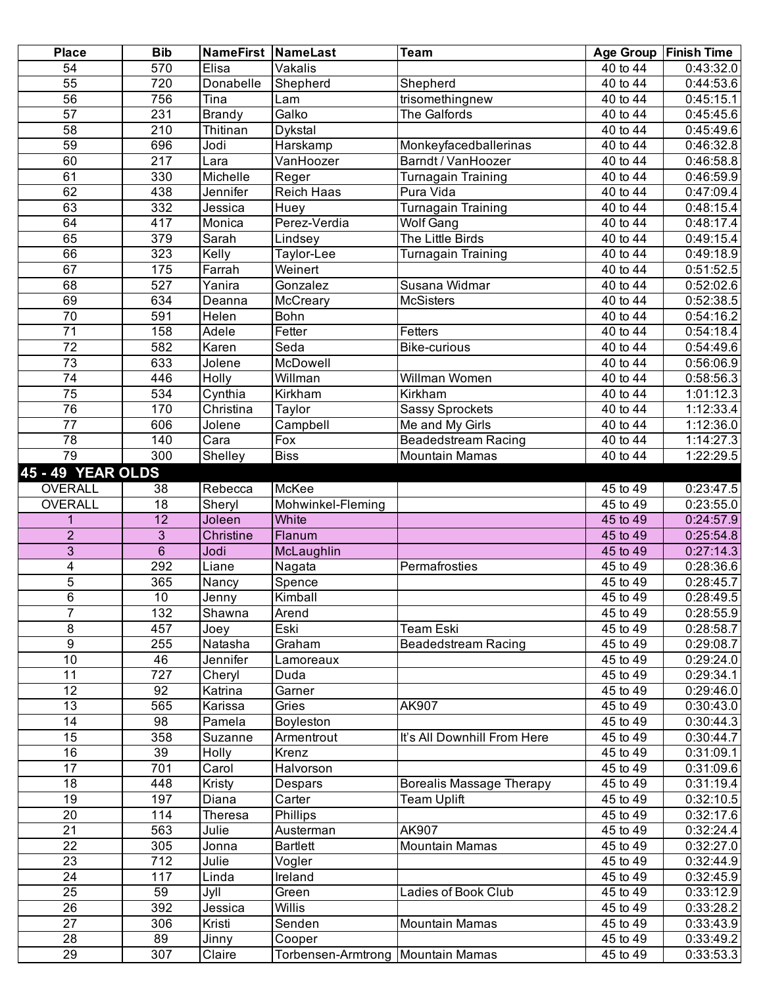| <b>Place</b>             | <b>Bib</b>       | <b>NameFirst NameLast</b> |                                   | <b>Team</b>                          |                                    | Age Group   Finish Time |
|--------------------------|------------------|---------------------------|-----------------------------------|--------------------------------------|------------------------------------|-------------------------|
| 54                       | 570              | Elisa                     | Vakalis                           |                                      | $\frac{1}{40}$ to 44               | 0:43:32.0               |
| 55                       | 720              | Donabelle                 | Shepherd                          | Shepherd                             | $\overline{40}$ to $\overline{44}$ | 0:44:53.6               |
| $\overline{56}$          | 756              | $\overline{T}$ ina        | Lam                               | trisomethingnew                      | 40 to 44                           | 0:45:15.1               |
| $\overline{57}$          | 231              | <b>Brandy</b>             | Galko                             | The Galfords                         | 40 to 44                           | 0:45:45.6               |
| $\overline{58}$          | 210              | Thitinan                  | Dykstal                           |                                      | 40 to 44                           | 0:45:49.6               |
| 59                       | 696              | Jodi                      | Harskamp                          | Monkeyfacedballerinas                | 40 to 44                           | 0:46:32.8               |
| 60                       | $\overline{217}$ | Lara                      | VanHoozer                         | Barndt / VanHoozer                   | 40 to 44                           | 0:46:58.8               |
| 61                       | 330              | Michelle                  | Reger                             | <b>Turnagain Training</b>            | 40 to 44                           | 0:46:59.9               |
| 62                       | 438              | Jennifer                  | <b>Reich Haas</b>                 | Pura Vida                            | 40 to 44                           | 0:47:09.4               |
| 63                       | 332              | Jessica                   | Huey                              | <b>Turnagain Training</b>            | 40 to 44                           | 0:48:15.4               |
| 64                       | 417              |                           | Perez-Verdia                      |                                      |                                    |                         |
|                          |                  | Monica                    |                                   | <b>Wolf Gang</b><br>The Little Birds | 40 to 44                           | 0:48:17.4               |
| 65                       | 379              | Sarah                     | Lindsey                           |                                      | 40 to 44                           | 0:49:15.4               |
| 66                       | 323              | Kelly                     | Taylor-Lee                        | Turnagain Training                   | 40 to 44                           | 0:49:18.9               |
| 67                       | 175              | Farrah                    | Weinert                           |                                      | 40 to 44                           | 0:51:52.5               |
| 68                       | 527              | Yanira                    | Gonzalez                          | Susana Widmar                        | $\overline{40}$ to $\overline{44}$ | 0:52:02.6               |
| 69                       | 634              | Deanna                    | McCreary                          | <b>McSisters</b>                     | 40 to 44                           | 0:52:38.5               |
| $\overline{70}$          | 591              | Helen                     | Bohn                              |                                      | $\overline{40}$ to 44              | 0:54:16.2               |
| $\overline{71}$          | 158              | Adele                     | Fetter                            | <b>Fetters</b>                       | 40 to 44                           | 0:54:18.4               |
| $\overline{72}$          | 582              | Karen                     | Seda                              | <b>Bike-curious</b>                  | 40 to 44                           | 0:54:49.6               |
| 73                       | 633              | Jolene                    | McDowell                          |                                      | 40 to 44                           | 0:56:06.9               |
| $\overline{74}$          | 446              | <b>Holly</b>              | Willman                           | Willman Women                        | 40 to 44                           | 0:58:56.3               |
| 75                       | 534              | Cynthia                   | Kirkham                           | Kirkham                              | 40 to 44                           | 1:01:12.3               |
| 76                       | 170              | Christina                 | Taylor                            | <b>Sassy Sprockets</b>               | 40 to 44                           | 1:12:33.4               |
| 77                       | 606              | Jolene                    | Campbell                          | Me and My Girls                      | 40 to 44                           | 1:12:36.0               |
| $\overline{78}$          | 140              | Cara                      | Fox                               | Beadedstream Racing                  | 40 to 44                           | 1:14:27.3               |
| 79                       | 300              | Shelley                   | <b>Biss</b>                       | <b>Mountain Mamas</b>                | 40 to 44                           | 1:22:29.5               |
| <b>45 - 49 YEAR OLDS</b> |                  |                           |                                   |                                      |                                    |                         |
|                          |                  |                           |                                   |                                      |                                    |                         |
| <b>OVERALL</b>           | 38               | Rebecca                   | McKee                             |                                      | 45 to 49                           | 0:23:47.5               |
| <b>OVERALL</b>           | 18               | Sheryl                    | Mohwinkel-Fleming                 |                                      | 45 to 49                           | 0:23:55.0               |
| 1                        | $\overline{12}$  | Joleen                    | White                             |                                      | 45 to 49                           | 0:24:57.9               |
| $\overline{2}$           | 3                | Christine                 | Flanum                            |                                      | 45 to 49                           | 0:25:54.8               |
| $\mathbf{3}$             | $\overline{6}$   | Jodi                      | McLaughlin                        |                                      | 45 to 49                           | 0:27:14.3               |
| 4                        | 292              | Liane                     | Nagata                            | Permafrosties                        | 45 to 49                           | 0:28:36.6               |
| 5                        | 365              | Nancy                     | Spence                            |                                      | 45 to 49                           | 0:28:45.7               |
| $\overline{6}$           | $10$             | Jenny                     | Kimball                           |                                      | 45 to 49                           | 0:28:49.5               |
| 7                        | 132              | Shawna                    | Arend                             |                                      | 45 to 49                           | 0:28:55.9               |
| 8                        | 457              | Joey                      | Eski                              | Team Eski                            | 45 to 49                           | 0:28:58.7               |
| $\boldsymbol{9}$         | 255              | Natasha                   | Graham                            | <b>Beadedstream Racing</b>           | 45 to 49                           | 0:29:08.7               |
| 10                       | 46               | Jennifer                  | Lamoreaux                         |                                      | $\overline{45}$ to 49              | 0:29:24.0               |
| 11                       | 727              | Cheryl                    | Duda                              |                                      | 45 to 49                           | 0:29:34.1               |
| 12                       | 92               | Katrina                   | Garner                            |                                      | 45 to 49                           | 0:29:46.0               |
| 13                       | 565              | Karissa                   | Gries                             | AK907                                | 45 to 49                           | 0:30:43.0               |
| 14                       | 98               | Pamela                    | Boyleston                         |                                      | 45 to 49                           | 0:30:44.3               |
| $\overline{15}$          | 358              | Suzanne                   | Armentrout                        | It's All Downhill From Here          | 45 to 49                           | 0:30:44.7               |
| 16                       | 39               | <b>Holly</b>              | Krenz                             |                                      | 45 to 49                           | 0:31:09.1               |
| $\overline{17}$          | 701              | Carol                     | Halvorson                         |                                      | 45 to 49                           | 0:31:09.6               |
| 18                       | 448              | Kristy                    | Despars                           | <b>Borealis Massage Therapy</b>      | 45 to 49                           | 0:31:19.4               |
| 19                       | 197              | Diana                     | Carter                            | Team Uplift                          | 45 to 49                           | 0:32:10.5               |
| $\overline{20}$          | 114              | Theresa                   | Phillips                          |                                      | 45 to 49                           | 0:32:17.6               |
| 21                       | 563              | Julie                     | Austerman                         | <b>AK907</b>                         | 45 to 49                           | 0:32:24.4               |
| 22                       |                  |                           |                                   | <b>Mountain Mamas</b>                | 45 to 49                           |                         |
|                          | 305              | Jonna                     | <b>Bartlett</b>                   |                                      |                                    | 0:32:27.0               |
| 23                       | 712              | Julie                     | Vogler                            |                                      | 45 to 49                           | 0:32:44.9               |
| 24                       | 117              | Linda                     | Ireland                           |                                      | 45 to 49                           | 0:32:45.9               |
| 25                       | 59               | Jyll                      | Green                             | Ladies of Book Club                  | 45 to 49                           | 0:33:12.9               |
| $\overline{26}$          | 392              | Jessica                   | <b>Willis</b>                     |                                      | 45 to 49                           | 0:33:28.2               |
| $\overline{27}$          | 306              | Kristi                    | Senden                            | <b>Mountain Mamas</b>                | $\overline{45}$ to 49              | 0:33:43.9               |
| 28                       | 89               | Jinny                     | Cooper                            |                                      | $\overline{45}$ to 49              | 0:33:49.2               |
| 29                       | 307              | Claire                    | Torbensen-Armtrong Mountain Mamas |                                      | 45 to 49                           | 0:33:53.3               |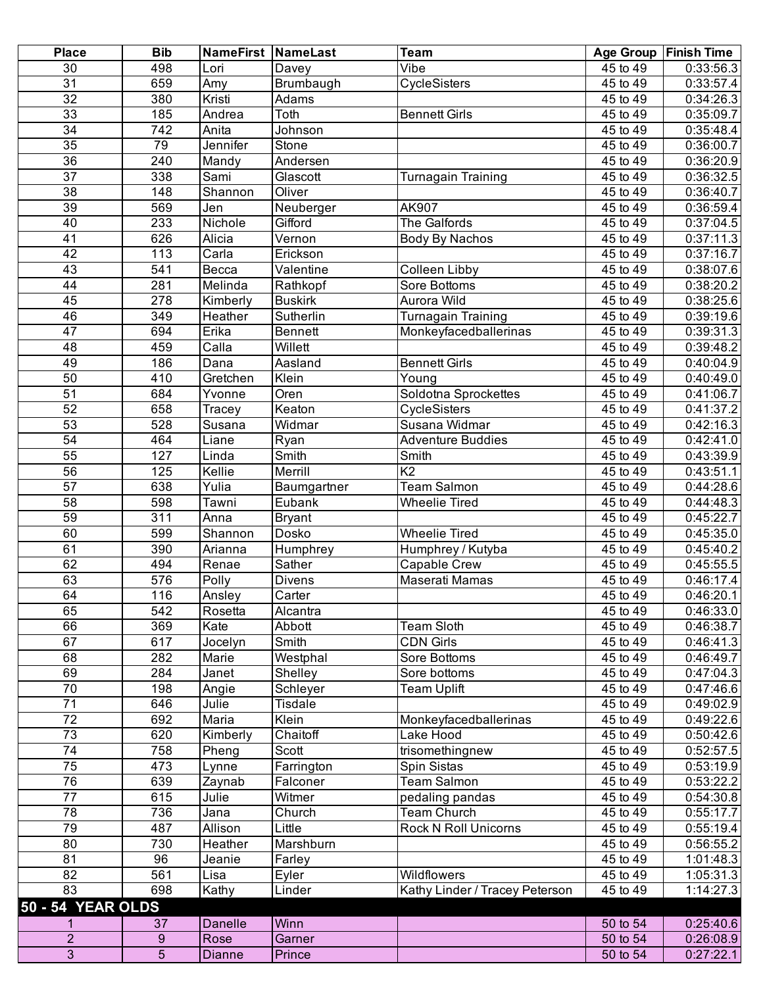| <b>Place</b>             | <b>Bib</b>     | <b>NameFirst NameLast</b> |                | <b>Team</b>                    |                       | Age Group   Finish Time |
|--------------------------|----------------|---------------------------|----------------|--------------------------------|-----------------------|-------------------------|
| 30                       | 498            | Lori                      | Davey          | Vibe                           | $\overline{45}$ to 49 | 0:33:56.3               |
| $\overline{31}$          | 659            | Amy                       | Brumbaugh      | CycleSisters                   | 45 to 49              | 0:33:57.4               |
| $\overline{32}$          | 380            | Kristi                    | Adams          |                                | 45 to 49              | 0:34:26.3               |
| 33                       | 185            | Andrea                    | Toth           | <b>Bennett Girls</b>           | $\overline{45}$ to 49 | 0:35:09.7               |
| 34                       | 742            | Anita                     | Johnson        |                                | 45 to 49              | 0:35:48.4               |
| $\overline{35}$          | 79             | Jennifer                  | Stone          |                                | 45 to 49              | 0:36:00.7               |
| 36                       | 240            | Mandy                     | Andersen       |                                | 45 to 49              | 0:36:20.9               |
| $\overline{37}$          | 338            | Sami                      | Glascott       | <b>Turnagain Training</b>      | 45 to 49              | 0:36:32.5               |
| $\overline{38}$          | 148            | Shannon                   | Oliver         |                                | $\overline{45}$ to 49 | 0:36:40.7               |
| 39                       | 569            | Jen                       | Neuberger      | AK907                          | 45 to 49              | 0:36:59.4               |
| 40                       | 233            | Nichole                   | Gifford        | The Galfords                   | 45 to 49              | 0:37:04.5               |
| 41                       | 626            | Alicia                    | Vernon         |                                | 45 to 49              | 0:37:11.3               |
| $\overline{42}$          | 113            | Carla                     | Erickson       | Body By Nachos                 | 45 to 49              | 0:37:16.7               |
|                          |                |                           |                |                                |                       |                         |
| 43                       | 541            | Becca                     | Valentine      | <b>Colleen Libby</b>           | 45 to 49              | 0:38:07.6               |
| $\overline{44}$          | 281            | Melinda                   | Rathkopf       | Sore Bottoms                   | 45 to 49              | 0:38:20.2               |
| 45                       | 278            | Kimberly                  | <b>Buskirk</b> | Aurora Wild                    | 45 to 49              | 0:38:25.6               |
| 46                       | 349            | Heather                   | Sutherlin      | <b>Turnagain Training</b>      | 45 to 49              | 0:39:19.6               |
| $\overline{47}$          | 694            | Erika                     | <b>Bennett</b> | Monkeyfacedballerinas          | 45 to 49              | 0:39:31.3               |
| 48                       | 459            | $\overline{Calla}$        | Willett        |                                | 45 to 49              | 0:39:48.2               |
| 49                       | 186            | Dana                      | Aasland        | <b>Bennett Girls</b>           | 45 to 49              | 0:40:04.9               |
| 50                       | 410            | Gretchen                  | Klein          | Young                          | 45 to 49              | 0:40:49.0               |
| 51                       | 684            | Yvonne                    | Oren           | Soldotna Sprockettes           | 45 to 49              | 0:41:06.7               |
| 52                       | 658            | Tracey                    | Keaton         | CycleSisters                   | 45 to 49              | 0:41:37.2               |
| 53                       | 528            | Susana                    | Widmar         | Susana Widmar                  | 45 to 49              | 0:42:16.3               |
| 54                       | 464            | Liane                     | Ryan           | <b>Adventure Buddies</b>       | 45 to 49              | 0:42:41.0               |
| 55                       | 127            | Linda                     | Smith          | Smith                          | 45 to 49              | 0:43:39.9               |
| 56                       | 125            | Kellie                    | Merrill        | K <sub>2</sub>                 | 45 to 49              | 0:43:51.1               |
| $\overline{57}$          | 638            | Yulia                     | Baumgartner    | <b>Team Salmon</b>             | 45 to 49              | 0:44:28.6               |
| 58                       | 598            | Tawni                     | Eubank         | <b>Wheelie Tired</b>           | 45 to 49              | 0:44:48.3               |
| 59                       | 311            | Anna                      | <b>Bryant</b>  |                                | 45 to 49              | 0:45:22.7               |
| 60                       | 599            | Shannon                   | Dosko          | <b>Wheelie Tired</b>           | $\overline{45}$ to 49 | 0:45:35.0               |
| 61                       | 390            | Arianna                   | Humphrey       | Humphrey / Kutyba              | $\overline{45}$ to 49 | 0:45:40.2               |
| 62                       | 494            | Renae                     | Sather         | Capable Crew                   | 45 to 49              | 0:45:55.5               |
| 63                       | 576            | Polly                     | <b>Divens</b>  | Maserati Mamas                 | 45 to 49              | 0:46:17.4               |
| 64                       | 116            | Ansley                    | Carter         |                                | 45 to 49              | 0:46:20.1               |
| 65                       | 542            | Rosetta                   | Alcantra       |                                | 45 to 49              | 0:46:33.0               |
| 66                       | 369            | Kate                      | Abbott         | <b>Team Sloth</b>              | 45 to 49              | 0:46:38.7               |
| 67                       | 617            | Jocelyn                   | Smith          | <b>CDN Girls</b>               | 45 to 49              | 0:46:41.3               |
| 68                       | 282            | Marie                     | Westphal       | Sore Bottoms                   | 45 to 49              | 0:46:49.7               |
| 69                       | 284            | Janet                     | Shelley        | Sore bottoms                   | 45 to 49              | 0:47:04.3               |
| 70                       | 198            | Angie                     | Schleyer       | <b>Team Uplift</b>             | 45 to 49              | 0:47:46.6               |
| $\overline{71}$          | 646            | Julie                     | Tisdale        |                                | 45 to 49              | 0:49:02.9               |
| $\overline{72}$          | 692            | Maria                     | Klein          | Monkeyfacedballerinas          | 45 to 49              | 0:49:22.6               |
| 73                       | 620            | Kimberly                  | Chaitoff       | Lake Hood                      | 45 to 49              | 0:50:42.6               |
| 74                       | 758            | Pheng                     | Scott          | trisomethingnew                | 45 to 49              | 0:52:57.5               |
| $\overline{75}$          | 473            | Lynne                     | Farrington     | Spin Sistas                    | 45 to 49              | 0:53:19.9               |
| 76                       | 639            | Zaynab                    | Falconer       | Team Salmon                    | 45 to 49              | 0:53:22.2               |
| $\overline{77}$          | 615            | Julie                     | Witmer         | pedaling pandas                | 45 to 49              | 0:54:30.8               |
|                          |                |                           |                |                                |                       |                         |
| 78                       | 736            | Jana                      | Church         | <b>Team Church</b>             | 45 to 49              | 0:55:17.7               |
| 79                       | 487            | Allison                   | Little         | <b>Rock N Roll Unicorns</b>    | 45 to 49              | 0:55:19.4               |
| 80                       | 730            | Heather                   | Marshburn      |                                | 45 to 49              | 0:56:55.2               |
| 81                       | 96             | Jeanie                    | Farley         |                                | 45 to 49              | 1:01:48.3               |
| 82                       | 561            | Lisa                      | Eyler          | Wildflowers                    | 45 to 49              | 1:05:31.3               |
| $\overline{83}$          | 698            | Kathy                     | Linder         | Kathy Linder / Tracey Peterson | 45 to 49              | 1:14:27.3               |
| <b>50 - 54 YEAR OLDS</b> |                |                           |                |                                |                       |                         |
|                          | 37             | <b>Danelle</b>            | Winn           |                                | 50 to 54              | 0:25:40.6               |
| $\overline{c}$           | 9              | Rose                      | Garner         |                                | 50 to 54              | 0:26:08.9               |
| $\overline{3}$           | $\overline{5}$ | <b>Dianne</b>             | Prince         |                                | 50 to 54              | 0:27:22.1               |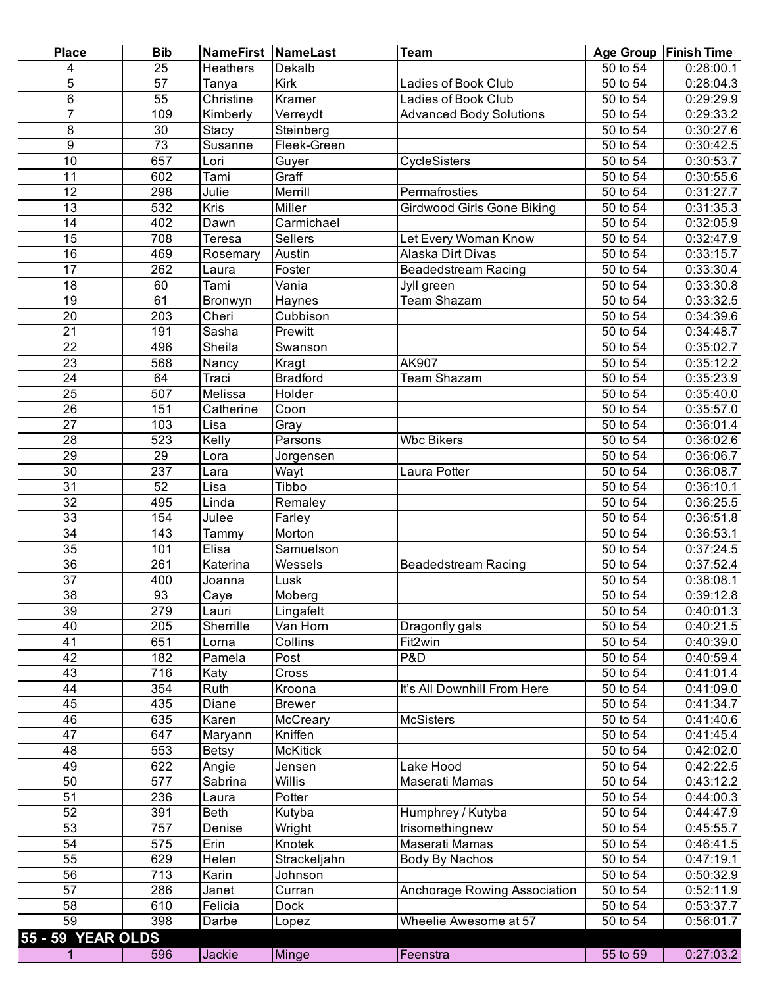| <b>Place</b>      | <b>Bib</b>      | <b>NameFirst NameLast</b> |                  | <b>Team</b>                       |                                    | Age Group   Finish Time |
|-------------------|-----------------|---------------------------|------------------|-----------------------------------|------------------------------------|-------------------------|
| 4                 | 25              | <b>Heathers</b>           | Dekalb           |                                   | 50 to 54                           | 0:28:00.1               |
| 5                 | 57              | Tanya                     | Kirk             | Ladies of Book Club               | 50 to 54                           | 0:28:04.3               |
| $\overline{6}$    | $\overline{55}$ | Christine                 | Kramer           | <b>Ladies of Book Club</b>        | 50 to 54                           | 0:29:29.9               |
| $\overline{7}$    | 109             | Kimberly                  | Verreydt         | <b>Advanced Body Solutions</b>    | 50 to 54                           | 0:29:33.2               |
| 8                 | 30              | Stacy                     | Steinberg        |                                   | 50 to 54                           | 0:30:27.6               |
| $\overline{9}$    | $\overline{73}$ | Susanne                   | Fleek-Green      |                                   | 50 to 54                           | 0:30:42.5               |
| 10                | 657             | Lori                      | Guyer            | CycleSisters                      | 50 to 54                           | 0:30:53.7               |
| 11                | 602             | Tami                      | Graff            |                                   | 50 to 54                           | 0:30:55.6               |
| 12                | 298             | Julie                     | Merrill          | Permafrosties                     | 50 to 54                           | 0:31:27.7               |
| $\overline{13}$   | 532             | Kris                      | Miller           | <b>Girdwood Girls Gone Biking</b> | 50 to 54                           | 0:31:35.3               |
| $\overline{14}$   | 402             | Dawn                      | Carmichael       |                                   | 50 to 54                           | 0:32:05.9               |
| $\overline{15}$   | 708             | Teresa                    | <b>Sellers</b>   | Let Every Woman Know              | $\overline{50}$ to $\overline{54}$ | 0:32:47.9               |
| 16                | 469             | Rosemary                  | Austin           | Alaska Dirt Divas                 | $\overline{50}$ to $\overline{54}$ | 0:33:15.7               |
| $\overline{17}$   | 262             | Laura                     | Foster           | <b>Beadedstream Racing</b>        | 50 to 54                           | 0:33:30.4               |
| 18                | 60              | Tami                      | Vania            | Jyll green                        | 50 to 54                           | 0:33:30.8               |
| $\overline{19}$   | 61              | Bronwyn                   | Haynes           | <b>Team Shazam</b>                | 50 to 54                           | 0:33:32.5               |
| $\overline{20}$   | 203             | Cheri                     | Cubbison         |                                   | 50 to 54                           | 0:34:39.6               |
| $\overline{21}$   | 191             | Sasha                     | Prewitt          |                                   | 50 to 54                           | 0:34:48.7               |
| $\overline{22}$   | 496             | Sheila                    | Swanson          |                                   | 50 to 54                           | 0:35:02.7               |
| $\overline{23}$   | 568             | Nancy                     | Kragt            | AK907                             | 50 to 54                           | 0:35:12.2               |
| $\overline{24}$   | 64              | Traci                     | <b>Bradford</b>  | <b>Team Shazam</b>                | $\overline{50}$ to $54$            | 0:35:23.9               |
| $\overline{25}$   | 507             | Melissa                   | Holder           |                                   | 50 to 54                           | 0:35:40.0               |
| 26                | 151             | Catherine                 | Coon             |                                   | 50 to 54                           | 0:35:57.0               |
| $\overline{27}$   | 103             | Lisa                      | Gray             |                                   | 50 to 54                           | 0:36:01.4               |
| $\overline{28}$   | 523             | Kelly                     | Parsons          | <b>Wbc Bikers</b>                 | 50 to 54                           | 0:36:02.6               |
| 29                | 29              | Lora                      | Jorgensen        |                                   | 50 to 54                           | 0:36:06.7               |
| 30                | 237             | Lara                      | Wayt             | Laura Potter                      | 50 to 54                           | 0:36:08.7               |
| 31                | 52              | Lisa                      | Tibbo            |                                   | 50 to 54                           | 0:36:10.1               |
| $\overline{32}$   | 495             | Linda                     | Remaley          |                                   | 50 to 54                           | 0:36:25.5               |
| 33                | 154             | Julee                     | Farley           |                                   | 50 to 54                           | 0:36:51.8               |
| 34                | 143             | Tammy                     | Morton           |                                   | 50 to 54                           | 0:36:53.1               |
| $\overline{35}$   | 101             | $E$ lisa                  | Samuelson        |                                   | 50 to 54                           | 0:37:24.5               |
| 36                | 261             | Katerina                  | Wessels          | <b>Beadedstream Racing</b>        | 50 to 54                           | 0:37:52.4               |
| $\overline{37}$   | 400             | Joanna                    | Lusk             |                                   | 50 to 54                           | 0:38:08.1               |
| $\overline{38}$   | 93              | Caye                      | Moberg           |                                   | 50 to 54                           | 0:39:12.8               |
| $\overline{39}$   | 279             | Lauri                     | Lingafelt        |                                   | 50 to 54                           | 0:40:01.3               |
| 40                | 205             | Sherrille                 | Van Horn         | Dragonfly gals                    | 50 to 54                           | 0:40:21.5               |
| 41                | 651             | Lorna                     | Collins          | Fit2win                           | 50 to 54                           | 0:40:39.0               |
| $\overline{42}$   | 182             | Pamela                    | Post             | P&D                               | 50 to 54                           | 0:40:59.4               |
| 43                | 716             | Katy                      | Cross            |                                   | $\overline{50}$ to 54              | 0:41:01.4               |
| 44                | 354             | <b>Ruth</b>               | Kroona           | It's All Downhill From Here       | 50 to 54                           | 0:41:09.0               |
| 45                | 435             | <b>Diane</b>              | <b>Brewer</b>    |                                   | 50 to 54                           | 0:41:34.7               |
| 46                | 635             | Karen                     | McCreary         | <b>McSisters</b>                  | 50 to 54                           | 0:41:40.6               |
| $\overline{47}$   | 647             | Maryann                   | Kniffen          |                                   | 50 to 54                           | 0:41:45.4               |
| 48                | 553             | <b>Betsy</b>              | <b>McKitick</b>  |                                   | 50 to 54                           | 0:42:02.0               |
| 49                | 622             | Angie                     | Jensen           | Lake Hood                         | 50 to 54                           | 0:42:22.5               |
| 50                | 577             | Sabrina                   | Willis           | Maserati Mamas                    | 50 to 54                           | 0:43:12.2               |
| $\overline{51}$   | 236             | Laura                     | Potter           |                                   | 50 to 54                           | 0:44:00.3               |
| 52                | 391             | <b>Beth</b>               |                  |                                   | 50 to 54                           | 0:44:47.9               |
| 53                |                 |                           | Kutyba           | Humphrey / Kutyba                 |                                    |                         |
| 54                | 757             | Denise<br>Erin            | Wright<br>Knotek | trisomethingnew<br>Maserati Mamas | 50 to 54                           | 0:45:55.7               |
|                   | 575             |                           |                  |                                   | 50 to 54                           | 0:46:41.5               |
| 55                | 629             | <b>Helen</b>              | Strackeljahn     | Body By Nachos                    | 50 to 54                           | 0:47:19.1               |
| 56                | 713             | Karin                     | Johnson          |                                   | 50 to 54                           | 0:50:32.9               |
| 57                | 286             | Janet                     | Curran           | Anchorage Rowing Association      | 50 to 54                           | 0:52:11.9               |
| 58                | 610             | Felicia                   | <b>Dock</b>      |                                   | 50 to 54                           | 0:53:37.7               |
| 59                | 398             | Darbe                     | Lopez            | Wheelie Awesome at 57             | $\overline{50}$ to 54              | 0:56:01.7               |
| 55 - 59 YEAR OLDS |                 |                           |                  |                                   |                                    |                         |
| 1                 | 596             | Jackie                    | Minge            | Feenstra                          | 55 to 59                           | 0:27:03.2               |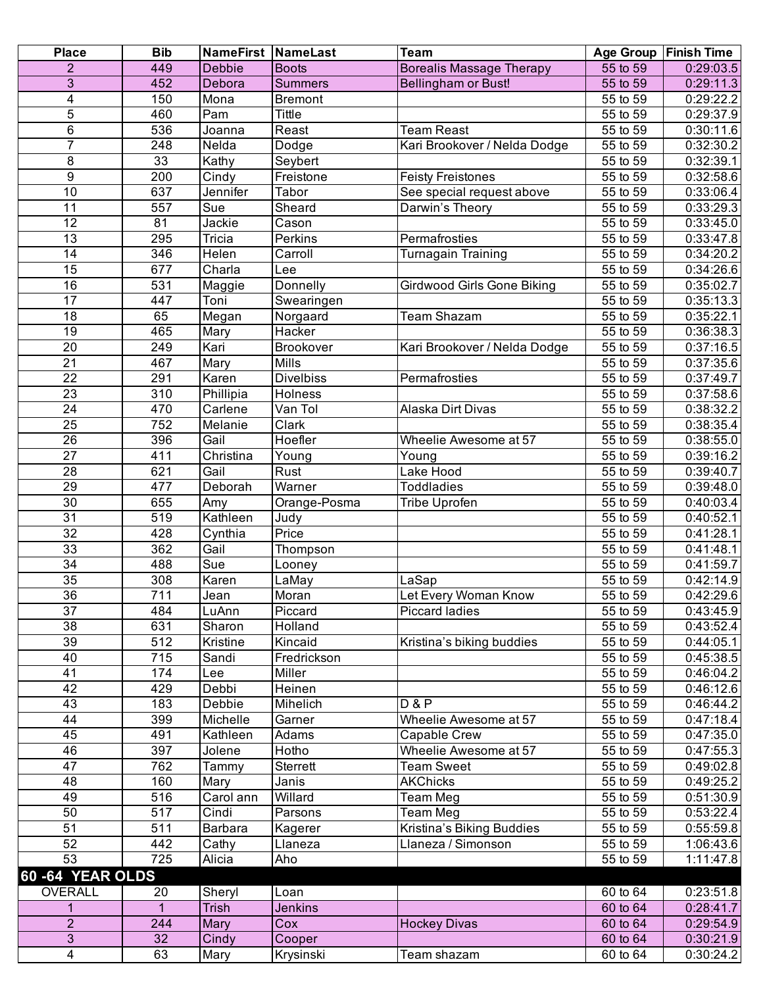| <b>Place</b>            | <b>Bib</b> | <b>NameFirst NameLast</b>   |                  | Team                              | <b>Age Group</b>      | <b>Finish Time</b> |
|-------------------------|------------|-----------------------------|------------------|-----------------------------------|-----------------------|--------------------|
| $\overline{2}$          | 449        | <b>Debbie</b>               | <b>Boots</b>     | <b>Borealis Massage Therapy</b>   | 55 to 59              | 0:29:03.5          |
| 3                       | 452        | Debora                      | <b>Summers</b>   | Bellingham or Bust!               | 55 to 59              | 0:29:11.3          |
| $\overline{\mathbf{4}}$ | 150        | Mona                        | <b>Bremont</b>   |                                   | 55 to 59              | 0:29:22.2          |
| 5                       | 460        | Pam                         | Tittle           |                                   | 55 to 59              | 0:29:37.9          |
| 6                       | 536        | Joanna                      | Reast            | <b>Team Reast</b>                 | 55 to 59              | 0:30:11.6          |
| $\overline{7}$          | 248        | Nelda                       | Dodge            | Kari Brookover / Nelda Dodge      | 55 to 59              | 0:32:30.2          |
| 8                       | 33         | Kathy                       | Seybert          |                                   | 55 to 59              | 0:32:39.1          |
| 9                       | 200        | $\overline{C}$ indy         | Freistone        | <b>Feisty Freistones</b>          | 55 to 59              | 0:32:58.6          |
| 10                      | 637        | Jennifer                    | Tabor            | See special request above         | 55 to 59              | 0:33:06.4          |
| $\overline{11}$         | 557        | Sue                         | Sheard           | Darwin's Theory                   | 55 to 59              | 0:33:29.3          |
| $\overline{12}$         | 81         | Jackie                      | Cason            |                                   | 55 to 59              | 0:33:45.0          |
| 13                      | 295        | Tricia                      | Perkins          | Permafrosties                     | 55 to 59              | 0:33:47.8          |
| $\overline{14}$         | 346        | <b>Helen</b>                | Carroll          | Turnagain Training                | 55 to 59              | 0:34:20.2          |
| $\overline{15}$         | 677        | $\overline{\text{Char}}$ la | Lee              |                                   | 55 to 59              | 0:34:26.6          |
| 16                      | 531        | Maggie                      | Donnelly         | <b>Girdwood Girls Gone Biking</b> | 55 to 59              | 0:35:02.7          |
| $\overline{17}$         | 447        | Toni                        | Swearingen       |                                   | 55 to 59              | 0:35:13.3          |
| 18                      | 65         | Megan                       | Norgaard         | Team Shazam                       | 55 to 59              | 0:35:22.1          |
| 19                      | 465        | Mary                        | Hacker           |                                   | 55 to 59              | 0:36:38.3          |
| $\overline{20}$         | 249        | Kari                        | Brookover        | Kari Brookover / Nelda Dodge      | 55 to 59              | 0:37:16.5          |
| $\overline{21}$         | 467        | Mary                        | Mills            |                                   | 55 to 59              | 0:37:35.6          |
| $\overline{22}$         | 291        | Karen                       | <b>Divelbiss</b> | Permafrosties                     | 55 to 59              | 0:37:49.7          |
| $\overline{23}$         | 310        | Phillipia                   | Holness          |                                   | 55 to 59              | 0:37:58.6          |
| $\overline{24}$         | 470        | Carlene                     | Van Tol          | Alaska Dirt Divas                 | 55 to 59              | 0:38:32.2          |
| $\overline{25}$         | 752        | Melanie                     | Clark            |                                   | 55 to 59              | 0:38:35.4          |
| $\overline{26}$         | 396        | Gail                        | Hoefler          | Wheelie Awesome at 57             | $\overline{55}$ to 59 | 0:38:55.0          |
| $\overline{27}$         | 411        | Christina                   | Young            | Young                             | $\overline{55}$ to 59 | 0:39:16.2          |
| $\overline{28}$         | 621        | Gail                        | Rust             | Lake Hood                         | 55 to 59              | 0:39:40.7          |
| 29                      | 477        | Deborah                     | Warner           | <b>Toddladies</b>                 | 55 to 59              | 0:39:48.0          |
| $\overline{30}$         | 655        | Amy                         | Orange-Posma     | <b>Tribe Uprofen</b>              | 55 to 59              | 0:40:03.4          |
| $\overline{31}$         | 519        | Kathleen                    | Judy             |                                   | 55 to 59              | 0:40:52.1          |
| $\overline{32}$         | 428        | $\overline{C}$ ynthia       | Price            |                                   | $\overline{55}$ to 59 | 0:41:28.1          |
| 33                      | 362        | Gail                        | Thompson         |                                   | 55 to 59              | 0:41:48.1          |
| $\overline{34}$         | 488        | Sue                         | Looney           |                                   | 55 to 59              | 0:41:59.7          |
| $\overline{35}$         | 308        | Karen                       | LaMay            | LaSap                             | 55 to 59              | 0:42:14.9          |
| 36                      | 711        | Jean                        | Moran            | Let Every Woman Know              | 55 to 59              | 0:42:29.6          |
| 37                      | 484        | LuAnn                       | Piccard          | <b>Piccard ladies</b>             | 55 to 59              | 0:43:45.9          |
| 38                      | 631        | Sharon                      | Holland          |                                   | 55 to 59              | 0:43:52.4          |
| 39                      | 512        | Kristine                    | Kincaid          | Kristina's biking buddies         | 55 to 59              | 0:44:05.1          |
| 40                      | 715        | Sandi                       | Fredrickson      |                                   | 55 to 59              | 0:45:38.5          |
| 41                      | 174        | Lee                         | Miller           |                                   | 55 to 59              | 0:46:04.2          |
| 42                      | 429        | Debbi                       | Heinen           |                                   | 55 to 59              | 0:46:12.6          |
| 43                      | 183        | Debbie                      | Mihelich         | <b>D&amp;P</b>                    | 55 to 59              | 0:46:44.2          |
| 44                      | 399        | Michelle                    | Garner           | Wheelie Awesome at 57             | 55 to 59              | 0:47:18.4          |
| 45                      | 491        | Kathleen                    | Adams            | Capable Crew                      | 55 to 59              | 0:47:35.0          |
| 46                      | 397        | Jolene                      | Hotho            | Wheelie Awesome at 57             | 55 to 59              | 0:47:55.3          |
| 47                      | 762        | Tammy                       | Sterrett         | <b>Team Sweet</b>                 | 55 to 59              | 0:49:02.8          |
| 48                      | 160        | Mary                        | Janis            | <b>AKChicks</b>                   | $\overline{55}$ to 59 | 0:49:25.2          |
| 49                      | 516        | Carol ann                   | Willard          | Team Meg                          | 55 to 59              | 0:51:30.9          |
| 50                      | 517        | Cindi                       | Parsons          | Team Meg                          | 55 to 59              | 0:53:22.4          |
| 51                      | 511        | Barbara                     | Kagerer          | Kristina's Biking Buddies         | 55 to 59              | 0:55:59.8          |
| 52                      | 442        | Cathy                       | Llaneza          | Llaneza / Simonson                | 55 to 59              | 1:06:43.6          |
| 53                      | 725        | Alicia                      | Aho              |                                   | 55 to 59              | 1:11:47.8          |
| 60-64 YEAR OLDS         |            |                             |                  |                                   |                       |                    |
| <b>OVERALL</b>          | 20         | Sheryl                      | Loan             |                                   | 60 to 64              | 0:23:51.8          |
| 1                       | 1          | <b>Trish</b>                | Jenkins          |                                   | 60 to 64              | 0:28:41.7          |
| $\overline{2}$          | 244        | <b>Mary</b>                 | Cox              | <b>Hockey Divas</b>               | 60 to 64              | 0:29:54.9          |
| $\mathbf{3}$            | 32         | Cindy                       | Cooper           |                                   | 60 to 64              | 0:30:21.9          |
| 4                       | 63         | Mary                        | Krysinski        | Team shazam                       | 60 to 64              | 0:30:24.2          |
|                         |            |                             |                  |                                   |                       |                    |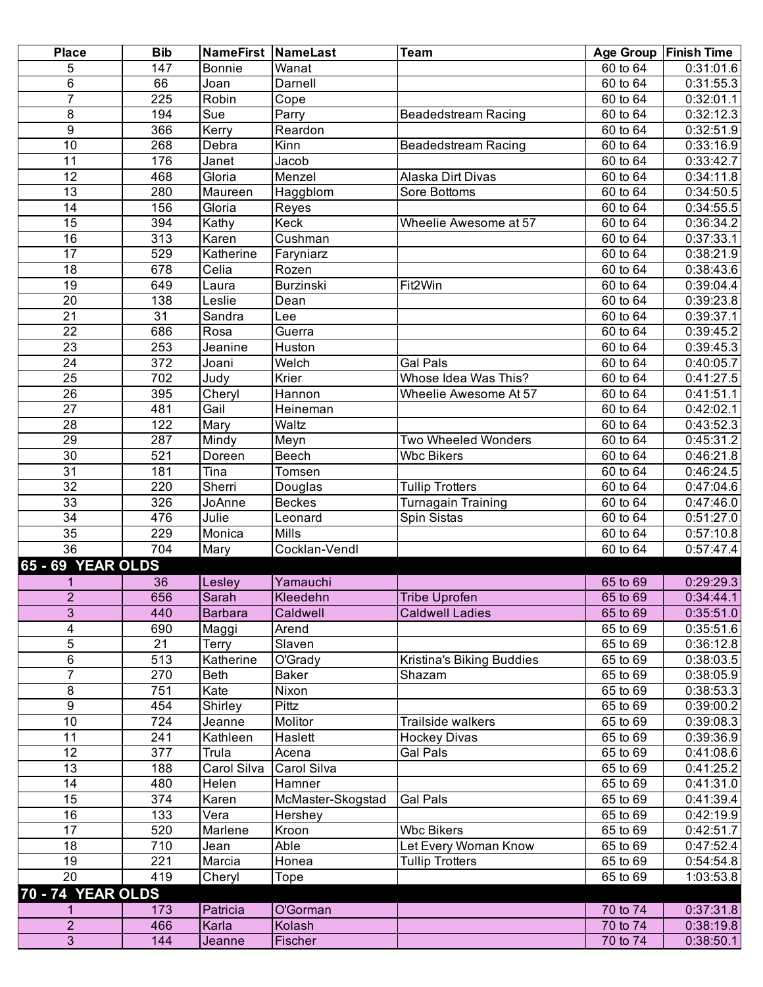| <b>Place</b>             | <b>Bib</b>       | <b>NameFirst NameLast</b> |                   | <b>Team</b>                |                       | Age Group   Finish Time |
|--------------------------|------------------|---------------------------|-------------------|----------------------------|-----------------------|-------------------------|
| 5                        | 147              | <b>Bonnie</b>             | Wanat             |                            | 60 to 64              | 0:31:01.6               |
| 6                        | 66               | Joan                      | Darnell           |                            | 60 to 64              | 0:31:55.3               |
| $\overline{7}$           | 225              | Robin                     | Cope              |                            | 60 to 64              | 0:32:01.1               |
| 8                        | 194              | Sue                       | Parry             | <b>Beadedstream Racing</b> | 60 to 64              | 0:32:12.3               |
| $\overline{9}$           | 366              | Kerry                     | Reardon           |                            | 60 to 64              | 0:32:51.9               |
| $\overline{10}$          | 268              | Debra                     | Kinn              | <b>Beadedstream Racing</b> | 60 to 64              | 0:33:16.9               |
| 11                       | 176              | Janet                     | Jacob             |                            | 60 to 64              | 0:33:42.7               |
| $\overline{12}$          | 468              | Gloria                    | Menzel            | Alaska Dirt Divas          | 60 to 64              | 0:34:11.8               |
| $\overline{13}$          | 280              | Maureen                   | Haggblom          | Sore Bottoms               | 60 to 64              | 0:34:50.5               |
| $\overline{14}$          | 156              | Gloria                    | Reyes             |                            | 60 to 64              | 0:34:55.5               |
| $\overline{15}$          | 394              | Kathy                     | Keck              | Wheelie Awesome at 57      | 60 to 64              | 0:36:34.2               |
| 16                       | 313              | Karen                     | Cushman           |                            | 60 to 64              | 0:37:33.1               |
| 17                       | 529              | Katherine                 | Faryniarz         |                            | 60 to 64              | 0:38:21.9               |
| 18                       | 678              | Celia                     | Rozen             |                            | $\overline{60}$ to 64 | 0:38:43.6               |
| $\overline{19}$          | 649              | Laura                     | Burzinski         | Fit2Win                    | 60 to 64              | 0:39:04.4               |
| 20                       | 138              | Leslie                    | Dean              |                            | $\frac{1}{60}$ to 64  | 0:39:23.8               |
| 21                       | 31               | Sandra                    | Lee               |                            | 60 to 64              | 0:39:37.1               |
| $\overline{22}$          | 686              | Rosa                      | Guerra            |                            | 60 to 64              | 0:39:45.2               |
| $\overline{23}$          | 253              | Jeanine                   | Huston            |                            | 60 to 64              | 0:39:45.3               |
| $\overline{24}$          | $\overline{372}$ | Joani                     | Welch             | Gal Pals                   | 60 to 64              | 0:40:05.7               |
| $\overline{25}$          | 702              | Judy                      | Krier             | Whose Idea Was This?       | 60 to 64              | 0:41:27.5               |
| $\overline{26}$          | 395              | Cheryl                    | Hannon            | Wheelie Awesome At 57      | 60 to 64              | 0:41:51.1               |
| $\overline{27}$          | 481              | Gail                      | Heineman          |                            | 60 to 64              | 0:42:02.1               |
| $\overline{28}$          | 122              | Mary                      | Waltz             |                            | 60 to 64              | 0:43:52.3               |
| 29                       | 287              | Mindy                     | Meyn              | Two Wheeled Wonders        | 60 to 64              | 0:45:31.2               |
| 30                       | 521              | Doreen                    | Beech             | <b>Wbc Bikers</b>          | 60 to 64              | 0:46:21.8               |
| 31                       | 181              | Tina                      | Tomsen            |                            | 60 to 64              | 0:46:24.5               |
| $\overline{32}$          | 220              | Sherri                    | Douglas           | <b>Tullip Trotters</b>     | 60 to 64              | 0.47:04.6               |
| 33                       | 326              | JoAnne                    | <b>Beckes</b>     | <b>Turnagain Training</b>  | 60 to 64              | 0:47:46.0               |
| 34                       | 476              | Julie                     | Leonard           | Spin Sistas                | 60 to 64              | 0:51:27.0               |
| 35                       | 229              | Monica                    | <b>Mills</b>      |                            | 60 to 64              | 0:57:10.8               |
| 36                       | 704              | Mary                      | Cocklan-Vendl     |                            | 60 to 64              | 0:57:47.4               |
| 65 - 69 YEAR OLDS        |                  |                           |                   |                            |                       |                         |
| 1                        | 36               | Lesley                    | Yamauchi          |                            | 65 to 69              | 0:29:29.3               |
| $\overline{2}$           | 656              | Sarah                     | Kleedehn          | <b>Tribe Uprofen</b>       | 65 to 69              | 0:34:44.1               |
| 3                        | 440              | <b>Barbara</b>            | Caldwell          | <b>Caldwell Ladies</b>     | 65 to 69              | 0:35:51.0               |
|                          | 690              |                           | Arend             |                            | 65 to 69              | 0:35:51.6               |
| 4<br>5                   | 21               | Maggi<br>Terry            | Slaven            |                            | 65 to 69              | 0:36:12.8               |
| 6                        | 513              | Katherine                 | O'Grady           | Kristina's Biking Buddies  | 65 to 69              | 0:38:03.5               |
| $\overline{7}$           | 270              | <b>Beth</b>               | <b>Baker</b>      | Shazam                     | 65 to 69              | 0:38:05.9               |
| 8                        | 751              | Kate                      | Nixon             |                            | $65$ to 69            | 0:38:53.3               |
| $\boldsymbol{9}$         | 454              | Shirley                   | Pittz             |                            | 65 to 69              | 0:39:00.2               |
| 10                       | 724              |                           | Molitor           | Trailside walkers          | 65 to 69              | 0:39:08.3               |
| 11                       | 241              | Jeanne<br>Kathleen        | Haslett           | <b>Hockey Divas</b>        | 65 to 69              | 0:39:36.9               |
| $\overline{12}$          | 377              | Trula                     | Acena             | <b>Gal Pals</b>            | 65 to 69              | 0:41:08.6               |
| $\overline{13}$          | 188              | Carol Silva               | Carol Silva       |                            | 65 to 69              |                         |
|                          |                  |                           |                   |                            |                       | 0:41:25.2               |
| 14                       | 480              | Helen                     | Hamner            |                            | 65 to 69              | 0:41:31.0               |
| $\overline{15}$          | 374              | Karen                     | McMaster-Skogstad | <b>Gal Pals</b>            | 65 to 69              | 0:41:39.4               |
| 16                       | 133              | Vera                      | Hershey           |                            | 65 to 69              | 0:42:19.9               |
| 17                       | 520              | Marlene                   | Kroon             | <b>Wbc Bikers</b>          | 65 to 69              | 0:42:51.7               |
| 18                       | 710              | Jean                      | Able              | Let Every Woman Know       | 65 to 69              | 0:47:52.4               |
| 19                       | 221              | Marcia                    | Honea             | <b>Tullip Trotters</b>     | 65 to 69              | 0:54:54.8               |
| $\overline{20}$          | 419              | Cheryl                    | <b>Tope</b>       |                            | 65 to 69              | 1:03:53.8               |
| <b>70 - 74 YEAR OLDS</b> |                  |                           |                   |                            |                       |                         |
|                          | 173              | Patricia                  | O'Gorman          |                            | 70 to 74              | 0:37:31.8               |
| $\overline{2}$           | 466              | Karla                     | Kolash            |                            | 70 to 74              | 0:38:19.8               |
| 3                        | 144              | Jeanne                    | Fischer           |                            | 70 to 74              | 0:38:50.1               |